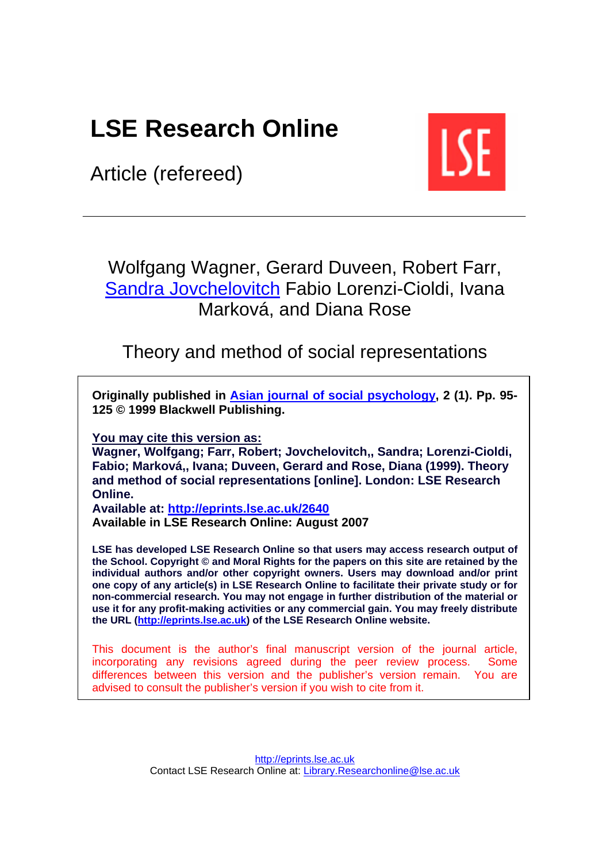# **LSE Research Online**



Article (refereed)

Wolfgang Wagner, Gerard Duveen, Robert Farr, [Sandra Jovchelovitch](http://www.lse.ac.uk/people/s.jovchelovitch@lse.ac.uk/) Fabio Lorenzi-Cioldi, Ivana Marková, and Diana Rose

# Theory and method of social representations

**Originally published in [Asian journal of social psychology](http://www.blackwellpublishing.com/journal.asp?ref=1367-2223), 2 (1). Pp. 95- 125 © 1999 Blackwell Publishing.** 

**You may cite this version as:** 

**Wagner, Wolfgang; Farr, Robert; Jovchelovitch,, Sandra; Lorenzi-Cioldi, Fabio; Marková,, Ivana; Duveen, Gerard and Rose, Diana (1999). Theory and method of social representations [online]. London: LSE Research Online.** 

**Available at: http://eprints.lse.ac.uk/2640 Available in LSE Research Online: August 2007**

**LSE has developed LSE Research Online so that users may access research output of the School. Copyright © and Moral Rights for the papers on this site are retained by the individual authors and/or other copyright owners. Users may download and/or print one copy of any article(s) in LSE Research Online to facilitate their private study or for non-commercial research. You may not engage in further distribution of the material or use it for any profit-making activities or any commercial gain. You may freely distribute the URL [\(http://eprints.lse.ac.uk\)](http://eprints.lse.ac.uk/) of the LSE Research Online website.** 

This document is the author's final manuscript version of the journal article, incorporating any revisions agreed during the peer review process. Some differences between this version and the publisher's version remain. You are advised to consult the publisher's version if you wish to cite from it.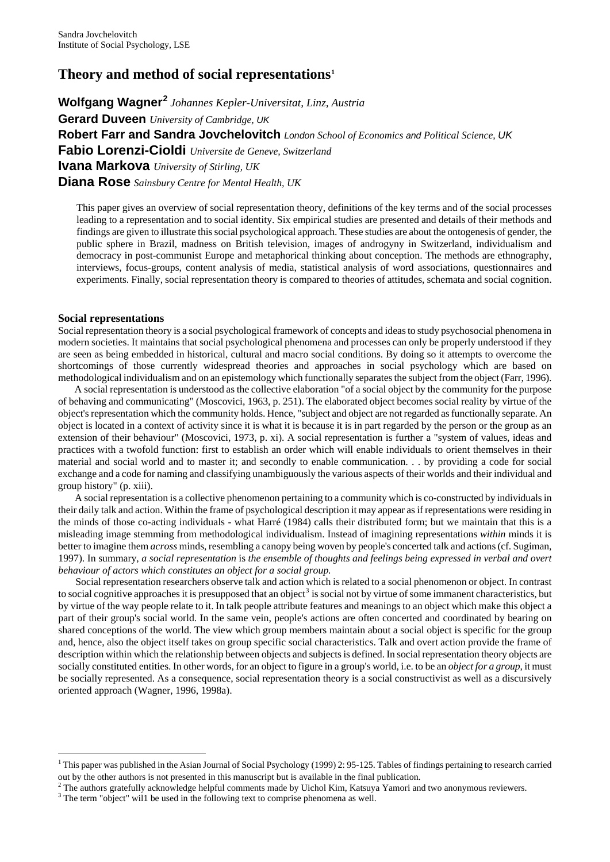# **Theory and method of social representations[1](#page-1-0)**

**Wolfgang Wagner[2](#page-1-1)** *Johannes Kepler-Universitat, Linz, Austria* **Gerard Duveen** *University of Cambridge, UK*  **Robert Farr and Sandra Jovchelovitch** *London School of Economics and Political Science, UK*  **Fabio Lorenzi-Cioldi** *Universite de Geneve, Switzerland*  **Ivana Markova** *University of Stirling, UK*  **Diana Rose** *Sainsbury Centre for Mental Health, UK*

This paper gives an overview of social representation theory, definitions of the key terms and of the social processes leading to a representation and to social identity. Six empirical studies are presented and details of their methods and findings are given to illustrate this social psychological approach. These studies are about the ontogenesis of gender, the public sphere in Brazil, madness on British television, images of androgyny in Switzerland, individualism and democracy in post-communist Europe and metaphorical thinking about conception. The methods are ethnography, interviews, focus-groups, content analysis of media, statistical analysis of word associations, questionnaires and experiments. Finally, social representation theory is compared to theories of attitudes, schemata and social cognition.

# **Social representations**

 $\overline{a}$ 

Social representation theory is a social psychological framework of concepts and ideas to study psychosocial phenomena in modern societies. It maintains that social psychological phenomena and processes can only be properly understood if they are seen as being embedded in historical, cultural and macro social conditions. By doing so it attempts to overcome the shortcomings of those currently widespread theories and approaches in social psychology which are based on methodological individualism and on an epistemology which functionally separates the subject from the object (Farr, 1996).

A social representation is understood as the collective elaboration "of a social object by the community for the purpose of behaving and communicating" (Moscovici, 1963, p. 251). The elaborated object becomes social reality by virtue of the object's representation which the community holds. Hence, "subject and object are not regarded as functionally separate. An object is located in a context of activity since it is what it is because it is in part regarded by the person or the group as an extension of their behaviour" (Moscovici, 1973, p. xi). A social representation is further a "system of values, ideas and practices with a twofold function: first to establish an order which will enable individuals to orient themselves in their material and social world and to master it; and secondly to enable communication. . . by providing a code for social exchange and a code for naming and classifying unambiguously the various aspects of their worlds and their individual and group history" (p. xiii).

A social representation is a collective phenomenon pertaining to a community which is co-constructed by individuals in their daily talk and action. Within the frame of psychological description it may appear as if representations were residing in the minds of those co-acting individuals - what Harré (1984) calls their distributed form; but we maintain that this is a misleading image stemming from methodological individualism. Instead of imagining representations *within* minds it is better to imagine them *across* minds, resembling a canopy being woven by people's concerted talk and actions (cf. Sugiman, 1997). In summary, *a social representation* is *the ensemble of thoughts and feelings being expressed in verbal and overt behaviour of actors which constitutes an object for a social group.* 

Social representation researchers observe talk and action which is related to a social phenomenon or object. In contrast to social cognitive approaches it is presupposed that an object<sup>[3](#page-1-2)</sup> is social not by virtue of some immanent characteristics, but by virtue of the way people relate to it. In talk people attribute features and meanings to an object which make this object a part of their group's social world. In the same vein, people's actions are often concerted and coordinated by bearing on shared conceptions of the world. The view which group members maintain about a social object is specific for the group and, hence, also the object itself takes on group specific social characteristics. Talk and overt action provide the frame of description within which the relationship between objects and subjects is defined. In social representation theory objects are socially constituted entities. In other words, for an object to figure in a group's world, i.e. to be an *object for a group,* it must be socially represented. As a consequence, social representation theory is a social constructivist as well as a discursively oriented approach (Wagner, 1996, 1998a).

<span id="page-1-0"></span><sup>&</sup>lt;sup>1</sup> This paper was published in the Asian Journal of Social Psychology (1999) 2: 95-125. Tables of findings pertaining to research carried out by the other authors is not presented in this manuscript but is available in the final publication. 2

<span id="page-1-1"></span>The authors gratefully acknowledge helpful comments made by Uichol Kim, Katsuya Yamori and two anonymous reviewers. 3

<span id="page-1-2"></span><sup>&</sup>lt;sup>3</sup> The term "object" will be used in the following text to comprise phenomena as well.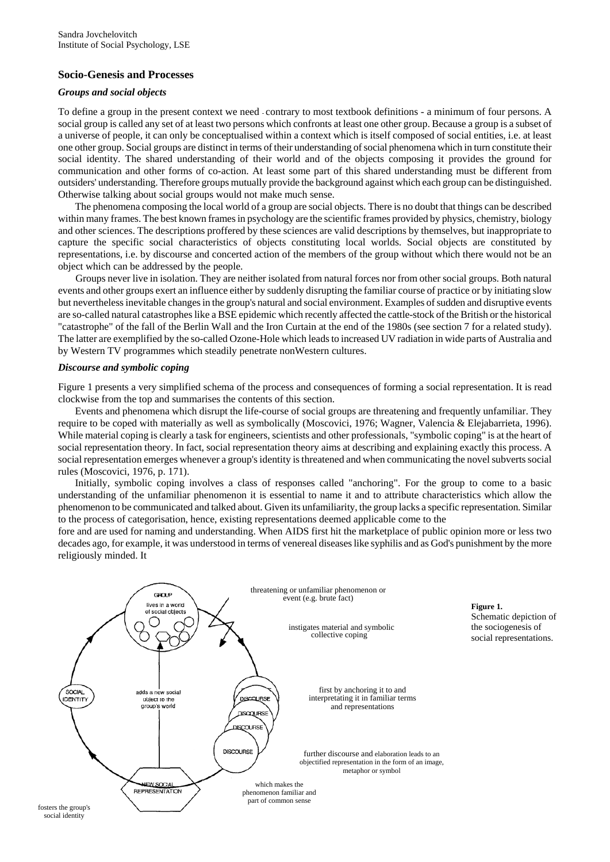# **Socio-Genesis and Processes**

# *Groups and social objects*

To define a group in the present context we need - contrary to most textbook definitions - a minimum of four persons. A social group is called any set of at least two persons which confronts at least one other group. Because a group is a subset of a universe of people, it can only be conceptualised within a context which is itself composed of social entities, i.e. at least one other group. Social groups are distinct in terms of their understanding of social phenomena which in turn constitute their social identity. The shared understanding of their world and of the objects composing it provides the ground for communication and other forms of co-action. At least some part of this shared understanding must be different from outsiders' understanding. Therefore groups mutually provide the background against which each group can be distinguished. Otherwise talking about social groups would not make much sense.

The phenomena composing the local world of a group are social objects. There is no doubt that things can be described within many frames. The best known frames in psychology are the scientific frames provided by physics, chemistry, biology and other sciences. The descriptions proffered by these sciences are valid descriptions by themselves, but inappropriate to capture the specific social characteristics of objects constituting local worlds. Social objects are constituted by representations, i.e. by discourse and concerted action of the members of the group without which there would not be an object which can be addressed by the people.

Groups never live in isolation. They are neither isolated from natural forces nor from other social groups. Both natural events and other groups exert an influence either by suddenly disrupting the familiar course of practice or by initiating slow but nevertheless inevitable changes in the group's natural and social environment. Examples of sudden and disruptive events are so-called natural catastrophes like a BSE epidemic which recently affected the cattle-stock of the British or the historical "catastrophe" of the fall of the Berlin Wall and the Iron Curtain at the end of the 1980s (see section 7 for a related study). The latter are exemplified by the so-called Ozone-Hole which leads to increased UV radiation in wide parts of Australia and by Western TV programmes which steadily penetrate nonWestern cultures.

# *Discourse and symbolic coping*

Figure 1 presents a very simplified schema of the process and consequences of forming a social representation. It is read clockwise from the top and summarises the contents of this section.

Events and phenomena which disrupt the life-course of social groups are threatening and frequently unfamiliar. They require to be coped with materially as well as symbolically (Moscovici, 1976; Wagner, Valencia & Elejabarrieta, 1996). While material coping is clearly a task for engineers, scientists and other professionals, "symbolic coping" is at the heart of social representation theory. In fact, social representation theory aims at describing and explaining exactly this process. A social representation emerges whenever a group's identity is threatened and when communicating the novel subverts social rules (Moscovici, 1976, p. 171).

Initially, symbolic coping involves a class of responses called "anchoring". For the group to come to a basic understanding of the unfamiliar phenomenon it is essential to name it and to attribute characteristics which allow the phenomenon to be communicated and talked about. Given its unfamiliarity, the group lacks a specific representation. Similar to the process of categorisation, hence, existing representations deemed applicable come to the

fore and are used for naming and understanding. When AIDS first hit the marketplace of public opinion more or less two decades ago, for example, it was understood in terms of venereal diseases like syphilis and as God's punishment by the more religiously minded. It

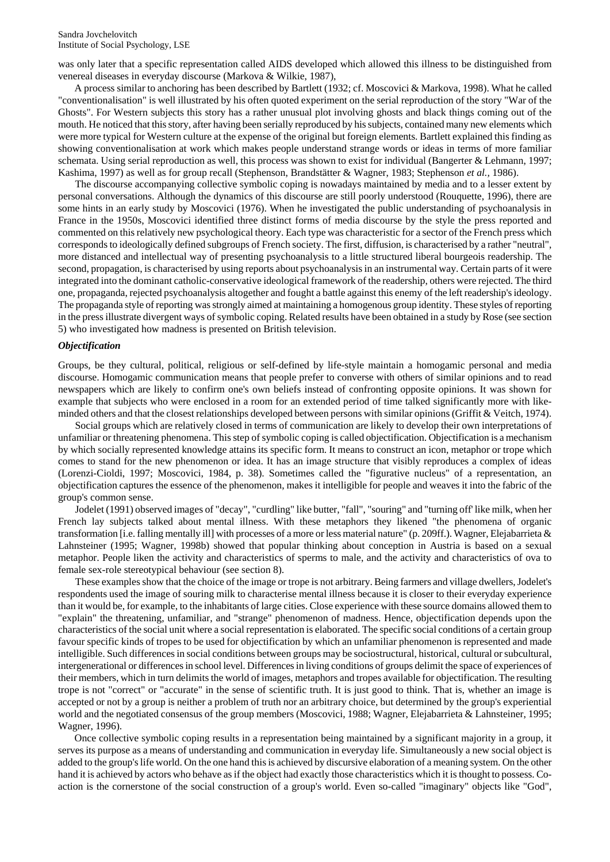was only later that a specific representation called AIDS developed which allowed this illness to be distinguished from venereal diseases in everyday discourse (Markova & Wilkie, 1987),

A process similar to anchoring has been described by Bartlett (1932; cf. Moscovici & Markova, 1998). What he called "conventionalisation" is well illustrated by his often quoted experiment on the serial reproduction of the story "War of the Ghosts". For Western subjects this story has a rather unusual plot involving ghosts and black things coming out of the mouth. He noticed that this story, after having been serially reproduced by his subjects, contained many new elements which were more typical for Western culture at the expense of the original but foreign elements. Bartlett explained this finding as showing conventionalisation at work which makes people understand strange words or ideas in terms of more familiar schemata. Using serial reproduction as well, this process was shown to exist for individual (Bangerter & Lehmann, 1997; Kashima, 1997) as well as for group recall (Stephenson, Brandstätter & Wagner, 1983; Stephenson *et al.,* 1986).

The discourse accompanying collective symbolic coping is nowadays maintained by media and to a lesser extent by personal conversations. Although the dynamics of this discourse are still poorly understood (Rouquette, 1996), there are some hints in an early study by Moscovici (1976). When he investigated the public understanding of psychoanalysis in France in the 1950s, Moscovici identified three distinct forms of media discourse by the style the press reported and commented on this relatively new psychological theory. Each type was characteristic for a sector of the French press which corresponds to ideologically defined subgroups of French society. The first, diffusion, is characterised by a rather "neutral", more distanced and intellectual way of presenting psychoanalysis to a little structured liberal bourgeois readership. The second, propagation, is characterised by using reports about psychoanalysis in an instrumental way. Certain parts of it were integrated into the dominant catholic-conservative ideological framework of the readership, others were rejected. The third one, propaganda, rejected psychoanalysis altogether and fought a battle against this enemy of the left readership's ideology. The propaganda style of reporting was strongly aimed at maintaining a homogenous group identity. These styles of reporting in the press illustrate divergent ways of symbolic coping. Related results have been obtained in a study by Rose (see section 5) who investigated how madness is presented on British television.

# *Objectification*

Groups, be they cultural, political, religious or self-defined by life-style maintain a homogamic personal and media discourse. Homogamic communication means that people prefer to converse with others of similar opinions and to read newspapers which are likely to confirm one's own beliefs instead of confronting opposite opinions. It was shown for example that subjects who were enclosed in a room for an extended period of time talked significantly more with likeminded others and that the closest relationships developed between persons with similar opinions (Griffit & Veitch, 1974).

Social groups which are relatively closed in terms of communication are likely to develop their own interpretations of unfamiliar or threatening phenomena. This step of symbolic coping is called objectification. Objectification is a mechanism by which socially represented knowledge attains its specific form. It means to construct an icon, metaphor or trope which comes to stand for the new phenomenon or idea. It has an image structure that visibly reproduces a complex of ideas (Lorenzi-Cioldi, 1997; Moscovici, 1984, p. 38). Sometimes called the "figurative nucleus" of a representation, an objectification captures the essence of the phenomenon, makes it intelligible for people and weaves it into the fabric of the group's common sense.

Jodelet (1991) observed images of "decay", "curdling" like butter, "fall", "souring" and "turning off' like milk, when her French lay subjects talked about mental illness. With these metaphors they likened "the phenomena of organic transformation [i.e. falling mentally ill] with processes of a more or less material nature" (p. 209ff.). Wagner, Elejabarrieta & Lahnsteiner (1995; Wagner, 1998b) showed that popular thinking about conception in Austria is based on a sexual metaphor. People liken the activity and characteristics of sperms to male, and the activity and characteristics of ova to female sex-role stereotypical behaviour (see section 8).

These examples show that the choice of the image or trope is not arbitrary. Being farmers and village dwellers, Jodelet's respondents used the image of souring milk to characterise mental illness because it is closer to their everyday experience than it would be, for example, to the inhabitants of large cities. Close experience with these source domains allowed them to "explain" the threatening, unfamiliar, and "strange" phenomenon of madness. Hence, objectification depends upon the characteristics of the social unit where a social representation is elaborated. The specific social conditions of a certain group favour specific kinds of tropes to be used for objectification by which an unfamiliar phenomenon is represented and made intelligible. Such differences in social conditions between groups may be sociostructural, historical, cultural or subcultural, intergenerational or differences in school level. Differences in living conditions of groups delimit the space of experiences of their members, which in turn delimits the world of images, metaphors and tropes available for objectification. The resulting trope is not "correct" or "accurate" in the sense of scientific truth. It is just good to think. That is, whether an image is accepted or not by a group is neither a problem of truth nor an arbitrary choice, but determined by the group's experiential world and the negotiated consensus of the group members (Moscovici, 1988; Wagner, Elejabarrieta & Lahnsteiner, 1995; Wagner, 1996).

Once collective symbolic coping results in a representation being maintained by a significant majority in a group, it serves its purpose as a means of understanding and communication in everyday life. Simultaneously a new social object is added to the group's life world. On the one hand this is achieved by discursive elaboration of a meaning system. On the other hand it is achieved by actors who behave as if the object had exactly those characteristics which it is thought to possess. Coaction is the cornerstone of the social construction of a group's world. Even so-called "imaginary" objects like "God",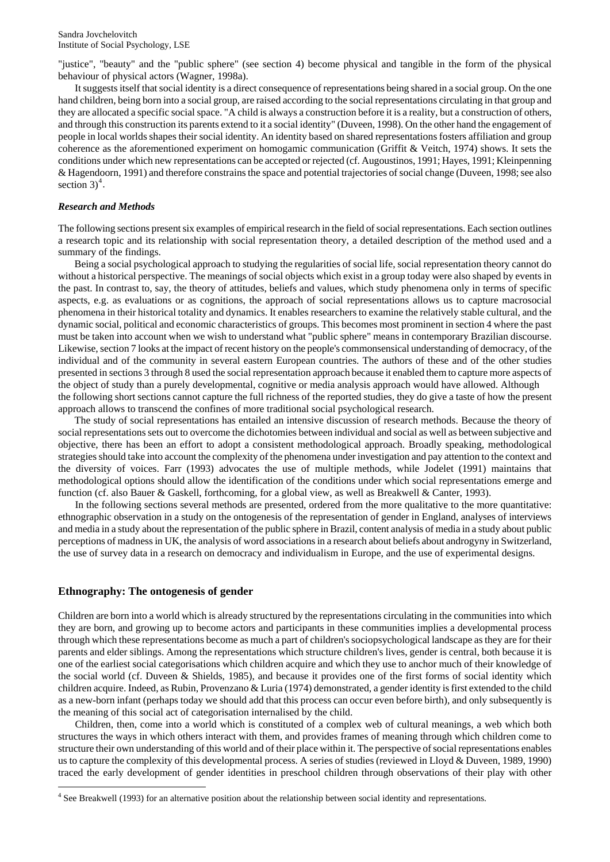"justice", "beauty" and the "public sphere" (see section 4) become physical and tangible in the form of the physical behaviour of physical actors (Wagner, 1998a).

It suggests itself that social identity is a direct consequence of representations being shared in a social group. On the one hand children, being born into a social group, are raised according to the social representations circulating in that group and they are allocated a specific social space. "A child is always a construction before it is a reality, but a construction of others, and through this construction its parents extend to it a social identity" (Duveen, 1998). On the other hand the engagement of people in local worlds shapes their social identity. An identity based on shared representations fosters affiliation and group coherence as the aforementioned experiment on homogamic communication (Griffit & Veitch, 1974) shows. It sets the conditions under which new representations can be accepted or rejected (cf. Augoustinos, 1991; Hayes, 1991; Kleinpenning & Hagendoorn, 1991) and therefore constrains the space and potential trajectories of social change (Duveen, 1998; see also section  $3)^4$  $3)^4$ .

# *Research and Methods*

The following sections present six examples of empirical research in the field of social representations. Each section outlines a research topic and its relationship with social representation theory, a detailed description of the method used and a summary of the findings.

Being a social psychological approach to studying the regularities of social life, social representation theory cannot do without a historical perspective. The meanings of social objects which exist in a group today were also shaped by events in the past. In contrast to, say, the theory of attitudes, beliefs and values, which study phenomena only in terms of specific aspects, e.g. as evaluations or as cognitions, the approach of social representations allows us to capture macrosocial phenomena in their historical totality and dynamics. It enables researchers to examine the relatively stable cultural, and the dynamic social, political and economic characteristics of groups. This becomes most prominent in section 4 where the past must be taken into account when we wish to understand what "public sphere" means in contemporary Brazilian discourse. Likewise, section 7 looks at the impact of recent history on the people's commonsensical understanding of democracy, of the individual and of the community in several eastern European countries. The authors of these and of the other studies presented in sections 3 through 8 used the social representation approach because it enabled them to capture more aspects of the object of study than a purely developmental, cognitive or media analysis approach would have allowed. Although the following short sections cannot capture the full richness of the reported studies, they do give a taste of how the present approach allows to transcend the confines of more traditional social psychological research.

The study of social representations has entailed an intensive discussion of research methods. Because the theory of social representations sets out to overcome the dichotomies between individual and social as well as between subjective and objective, there has been an effort to adopt a consistent methodological approach. Broadly speaking, methodological strategies should take into account the complexity of the phenomena under investigation and pay attention to the context and the diversity of voices. Farr (1993) advocates the use of multiple methods, while Jodelet (1991) maintains that methodological options should allow the identification of the conditions under which social representations emerge and function (cf. also Bauer & Gaskell, forthcoming, for a global view, as well as Breakwell & Canter, 1993).

In the following sections several methods are presented, ordered from the more qualitative to the more quantitative: ethnographic observation in a study on the ontogenesis of the representation of gender in England, analyses of interviews and media in a study about the representation of the public sphere in Brazil, content analysis of media in a study about public perceptions of madness in UK, the analysis of word associations in a research about beliefs about androgyny in Switzerland, the use of survey data in a research on democracy and individualism in Europe, and the use of experimental designs.

# **Ethnography: The ontogenesis of gender**

 $\overline{a}$ 

Children are born into a world which is already structured by the representations circulating in the communities into which they are born, and growing up to become actors and participants in these communities implies a developmental process through which these representations become as much a part of children's sociopsychological landscape as they are for their parents and elder siblings. Among the representations which structure children's lives, gender is central, both because it is one of the earliest social categorisations which children acquire and which they use to anchor much of their knowledge of the social world (cf. Duveen & Shields, 1985), and because it provides one of the first forms of social identity which children acquire. Indeed, as Rubin, Provenzano & Luria (1974) demonstrated, a gender identity is first extended to the child as a new-born infant (perhaps today we should add that this process can occur even before birth), and only subsequently is the meaning of this social act of categorisation internalised by the child.

Children, then, come into a world which is constituted of a complex web of cultural meanings, a web which both structures the ways in which others interact with them, and provides frames of meaning through which children come to structure their own understanding of this world and of their place within it. The perspective of social representations enables us to capture the complexity of this developmental process. A series of studies (reviewed in Lloyd & Duveen, 1989, 1990) traced the early development of gender identities in preschool children through observations of their play with other

<span id="page-4-0"></span><sup>&</sup>lt;sup>4</sup> See Breakwell (1993) for an alternative position about the relationship between social identity and representations.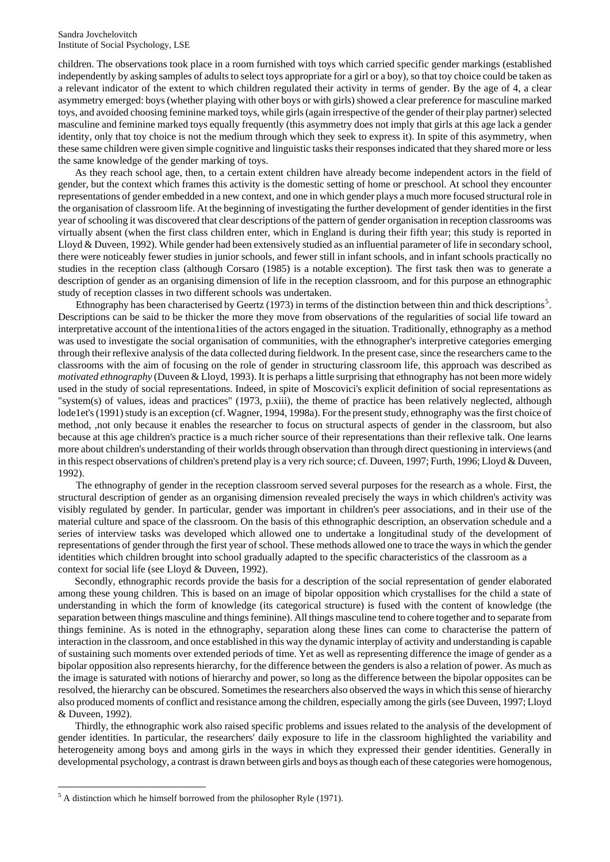children. The observations took place in a room furnished with toys which carried specific gender markings (established independently by asking samples of adults to select toys appropriate for a girl or a boy), so that toy choice could be taken as a relevant indicator of the extent to which children regulated their activity in terms of gender. By the age of 4, a clear asymmetry emerged: boys (whether playing with other boys or with girls) showed a clear preference for masculine marked toys, and avoided choosing feminine marked toys, while girls (again irrespective of the gender of their play partner) selected masculine and feminine marked toys equally frequently (this asymmetry does not imply that girls at this age lack a gender identity, only that toy choice is not the medium through which they seek to express it). In spite of this asymmetry, when these same children were given simple cognitive and linguistic tasks their responses indicated that they shared more or less the same knowledge of the gender marking of toys.

As they reach school age, then, to a certain extent children have already become independent actors in the field of gender, but the context which frames this activity is the domestic setting of home or preschool. At school they encounter representations of gender embedded in a new context, and one in which gender plays a much more focused structural role in the organisation of classroom life. At the beginning of investigating the further development of gender identities in the first year of schooling it was discovered that clear descriptions of the pattern of gender organisation in reception classrooms was virtually absent (when the first class children enter, which in England is during their fifth year; this study is reported in Lloyd & Duveen, 1992). While gender had been extensively studied as an influential parameter of life in secondary school, there were noticeably fewer studies in junior schools, and fewer still in infant schools, and in infant schools practically no studies in the reception class (although Corsaro (1985) is a notable exception). The first task then was to generate a description of gender as an organising dimension of life in the reception classroom, and for this purpose an ethnographic study of reception classes in two different schools was undertaken.

Ethnography has been characterised by Geertz (1973) in terms of the distinction between thin and thick descriptions<sup>[5](#page-5-0)</sup>. Descriptions can be said to be thicker the more they move from observations of the regularities of social life toward an interpretative account of the intentiona1ities of the actors engaged in the situation. Traditionally, ethnography as a method was used to investigate the social organisation of communities, with the ethnographer's interpretive categories emerging through their reflexive analysis of the data collected during fieldwork. In the present case, since the researchers came to the classrooms with the aim of focusing on the role of gender in structuring classroom life, this approach was described as *motivated ethnography* (Duveen & Lloyd, 1993). It is perhaps a little surprising that ethnography has not been more widely used in the study of social representations. Indeed, in spite of Moscovici's explicit definition of social representations as "system(s) of values, ideas and practices" (1973, p.xiii), the theme of practice has been relatively neglected, although lode1et's (1991) study is an exception (cf. Wagner, 1994, 1998a). For the present study, ethnography was the first choice of method, ,not only because it enables the researcher to focus on structural aspects of gender in the classroom, but also because at this age children's practice is a much richer source of their representations than their reflexive talk. One learns more about children's understanding of their worlds through observation than through direct questioning in interviews (and in this respect observations of children's pretend play is a very rich source; cf. Duveen, 1997; Furth, 1996; Lloyd & Duveen, 1992).

The ethnography of gender in the reception classroom served several purposes for the research as a whole. First, the structural description of gender as an organising dimension revealed precisely the ways in which children's activity was visibly regulated by gender. In particular, gender was important in children's peer associations, and in their use of the material culture and space of the classroom. On the basis of this ethnographic description, an observation schedule and a series of interview tasks was developed which allowed one to undertake a longitudinal study of the development of representations of gender through the first year of school. These methods allowed one to trace the ways in which the gender identities which children brought into school gradually adapted to the specific characteristics of the classroom as a context for social life (see Lloyd & Duveen, 1992).

Secondly, ethnographic records provide the basis for a description of the social representation of gender elaborated among these young children. This is based on an image of bipolar opposition which crystallises for the child a state of understanding in which the form of knowledge (its categorical structure) is fused with the content of knowledge (the separation between things masculine and things feminine). All things masculine tend to cohere together and to separate from things feminine. As is noted in the ethnography, separation along these lines can come to characterise the pattern of interaction in the classroom, and once established in this way the dynamic interplay of activity and understanding is capable of sustaining such moments over extended periods of time. Yet as well as representing difference the image of gender as a bipolar opposition also represents hierarchy, for the difference between the genders is also a relation of power. As much as the image is saturated with notions of hierarchy and power, so long as the difference between the bipolar opposites can be resolved, the hierarchy can be obscured. Sometimes the researchers also observed the ways in which this sense of hierarchy also produced moments of conflict and resistance among the children, especially among the girls (see Duveen, 1997; Lloyd & Duveen, 1992).

Thirdly, the ethnographic work also raised specific problems and issues related to the analysis of the development of gender identities. In particular, the researchers' daily exposure to life in the classroom highlighted the variability and heterogeneity among boys and among girls in the ways in which they expressed their gender identities. Generally in developmental psychology, a contrast is drawn between girls and boys as though each of these categories were homogenous,

 $\overline{a}$ 

<span id="page-5-0"></span> $<sup>5</sup>$  A distinction which he himself borrowed from the philosopher Ryle (1971).</sup>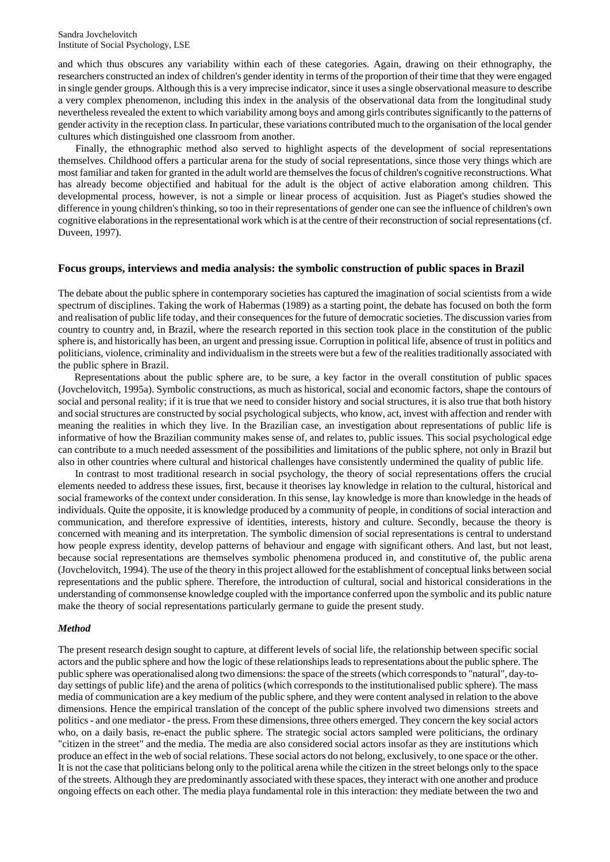and which thus obscures any variability within each of these categories. Again, drawing on their ethnography, the researchers constructed an index of children's gender identity in terms of the proportion of their time that they were engaged in single gender groups. Although this is a very imprecise indicator, since it uses a single observational measure to describe a very complex phenomenon, including this index in the analysis of the observational data from the longitudinal study nevertheless revealed the extent to which variability among boys and among girls contributes significantly to the patterns of gender activity in the reception class. In particular, these variations contributed much to the organisation of the local gender cultures which distinguished one classroom from another.

Finally, the ethnographic method also served to highlight aspects of the development of social representations themselves. Childhood offers a particular arena for the study of social representations, since those very things which are most familiar and taken for granted in the adult world are themselves the focus of children's cognitive reconstructions. What has already become objectified and habitual for the adult is the object of active elaboration among children. This developmental process, however, is not a simple or linear process of acquisition. Just as Piaget's studies showed the difference in young children's thinking, so too in their representations of gender one can see the influence of children's own cognitive elaborations in the representational work which is at the centre of their reconstruction of social representations (cf. Duveen, 1997).

# **Focus groups, interviews and media analysis: the symbolic construction of public spaces in Brazil**

The debate about the public sphere in contemporary societies has captured the imagination of social scientists from a wide spectrum of disciplines. Taking the work of Habermas (1989) as a starting point, the debate has focused on both the form and realisation of public life today, and their consequences for the future of democratic societies. The discussion varies from country to country and, in Brazil, where the research reported in this section took place in the constitution of the public sphere is, and historically has been, an urgent and pressing issue. Corruption in political life, absence of trust in politics and politicians, violence, criminality and individualism in the streets were but a few of the realities traditionally associated with the public sphere in Brazil.

Representations about the public sphere are, to be sure, a key factor in the overall constitution of public spaces (Jovchelovitch, 1995a). Symbolic constructions, as much as historical, social and economic factors, shape the contours of social and personal reality; if it is true that we need to consider history and social structures, it is also true that both history and social structures are constructed by social psychological subjects, who know, act, invest with affection and render with meaning the realities in which they live. In the Brazilian case, an investigation about representations of public life is informative of how the Brazilian community makes sense of, and relates to, public issues. This social psychological edge can contribute to a much needed assessment of the possibilities and limitations of the public sphere, not only in Brazil but also in other countries where cultural and historical challenges have consistently undermined the quality of public life.

In contrast to most traditional research in social psychology, the theory of social representations offers the crucial elements needed to address these issues, first, because it theorises lay knowledge in relation to the cultural, historical and social frameworks of the context under consideration. In this sense, lay knowledge is more than knowledge in the heads of individuals. Quite the opposite, it is knowledge produced by a community of people, in conditions of social interaction and communication, and therefore expressive of identities, interests, history and culture. Secondly, because the theory is concerned with meaning and its interpretation. The symbolic dimension of social representations is central to understand how people express identity, develop patterns of behaviour and engage with significant others. And last, but not least, because social representations are themselves symbolic phenomena produced in, and constitutive of, the public arena (Jovchelovitch, 1994). The use of the theory in this project allowed for the establishment of conceptual links between social representations and the public sphere. Therefore, the introduction of cultural, social and historical considerations in the understanding of commonsense knowledge coupled with the importance conferred upon the symbolic and its public nature make the theory of social representations particularly germane to guide the present study.

# *Method*

The present research design sought to capture, at different levels of social life, the relationship between specific social actors and the public sphere and how the logic of these relationships leads to representations about the public sphere. The public sphere was operationalised along two dimensions: the space of the streets (which corresponds to "natural", day-today settings of public life) and the arena of politics (which corresponds to the institutionalised public sphere). The mass media of communication are a key medium of the public sphere, and they were content analysed in relation to the above dimensions. Hence the empirical translation of the concept of the public sphere involved two dimensions streets and politics - and one mediator - the press. From these dimensions, three others emerged. They concern the key social actors who, on a daily basis, re-enact the public sphere. The strategic social actors sampled were politicians, the ordinary "citizen in the street" and the media. The media are also considered social actors insofar as they are institutions which produce an effect in the web of social relations. These social actors do not belong, exclusively, to one space or the other. It is not the case that politicians belong only to the political arena while the citizen in the street belongs only to the space of the streets. Although they are predominantly associated with these spaces, they interact with one another and produce ongoing effects on each other. The media playa fundamental role in this interaction: they mediate between the two and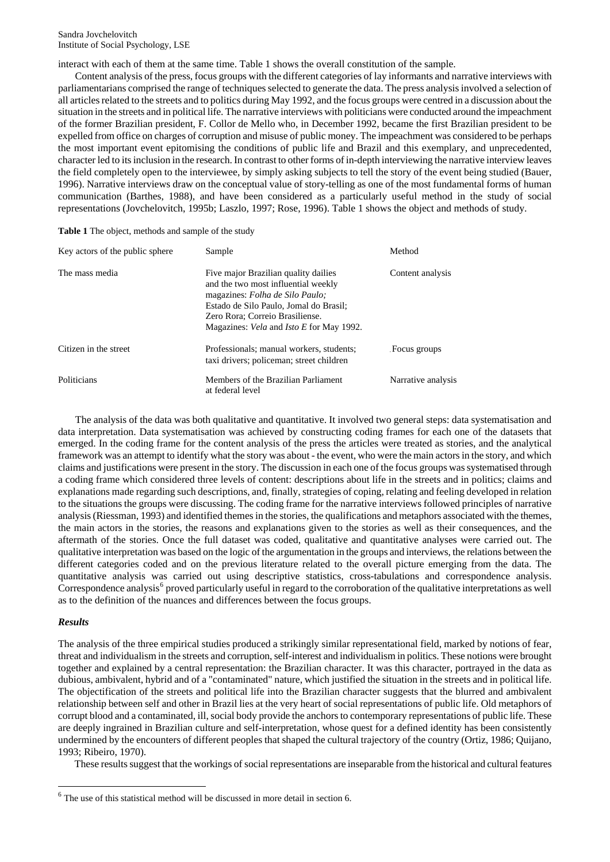interact with each of them at the same time. Table 1 shows the overall constitution of the sample.

Content analysis of the press, focus groups with the different categories of lay informants and narrative interviews with parliamentarians comprised the range of techniques selected to generate the data. The press analysis involved a selection of all articles related to the streets and to politics during May 1992, and the focus groups were centred in a discussion about the situation in the streets and in political life. The narrative interviews with politicians were conducted around the impeachment of the former Brazilian president, F. Collor de Mello who, in December 1992, became the first Brazilian president to be expelled from office on charges of corruption and misuse of public money. The impeachment was considered to be perhaps the most important event epitomising the conditions of public life and Brazil and this exemplary, and unprecedented, character led to its inclusion in the research. In contrast to other forms of in-depth interviewing the narrative interview leaves the field completely open to the interviewee, by simply asking subjects to tell the story of the event being studied (Bauer, 1996). Narrative interviews draw on the conceptual value of story-telling as one of the most fundamental forms of human communication (Barthes, 1988), and have been considered as a particularly useful method in the study of social representations (Jovchelovitch, 1995b; Laszlo, 1997; Rose, 1996). Table 1 shows the object and methods of study.

| Table 1 The object, methods and sample of the study |  |
|-----------------------------------------------------|--|
|-----------------------------------------------------|--|

| Key actors of the public sphere | Sample                                                                                                                                                                                                                                                | Method             |
|---------------------------------|-------------------------------------------------------------------------------------------------------------------------------------------------------------------------------------------------------------------------------------------------------|--------------------|
| The mass media                  | Five major Brazilian quality dailies<br>and the two most influential weekly<br>magazines: Folha de Silo Paulo;<br>Estado de Silo Paulo, Jomal do Brasil;<br>Zero Rora: Correio Brasiliense.<br>Magazines: <i>Vela</i> and <i>Isto E</i> for May 1992. | Content analysis   |
| Citizen in the street           | Professionals; manual workers, students;<br>taxi drivers; policeman; street children                                                                                                                                                                  | Focus groups       |
| Politicians                     | Members of the Brazilian Parliament<br>at federal level                                                                                                                                                                                               | Narrative analysis |

The analysis of the data was both qualitative and quantitative. It involved two general steps: data systematisation and data interpretation. Data systematisation was achieved by constructing coding frames for each one of the datasets that emerged. In the coding frame for the content analysis of the press the articles were treated as stories, and the analytical framework was an attempt to identify what the story was about - the event, who were the main actors in the story, and which claims and justifications were present in the story. The discussion in each one of the focus groups was systematised through a coding frame which considered three levels of content: descriptions about life in the streets and in politics; claims and explanations made regarding such descriptions, and, finally, strategies of coping, relating and feeling developed in relation to the situations the groups were discussing. The coding frame for the narrative interviews followed principles of narrative analysis (Riessman, 1993) and identified themes in the stories, the qualifications and metaphors associated with the themes, the main actors in the stories, the reasons and explanations given to the stories as well as their consequences, and the aftermath of the stories. Once the full dataset was coded, qualitative and quantitative analyses were carried out. The qualitative interpretation was based on the logic of the argumentation in the groups and interviews, the relations between the different categories coded and on the previous literature related to the overall picture emerging from the data. The quantitative analysis was carried out using descriptive statistics, cross-tabulations and correspondence analysis. Correspondence analysis<sup>[6](#page-7-0)</sup> proved particularly useful in regard to the corroboration of the qualitative interpretations as well as to the definition of the nuances and differences between the focus groups.

# *Results*

 $\overline{a}$ 

The analysis of the three empirical studies produced a strikingly similar representational field, marked by notions of fear, threat and individualism in the streets and corruption, self-interest and individualism in politics. These notions were brought together and explained by a central representation: the Brazilian character. It was this character, portrayed in the data as dubious, ambivalent, hybrid and of a "contaminated" nature, which justified the situation in the streets and in political life. The objectification of the streets and political life into the Brazilian character suggests that the blurred and ambivalent relationship between self and other in Brazil lies at the very heart of social representations of public life. Old metaphors of corrupt blood and a contaminated, ill, social body provide the anchors to contemporary representations of public life. These are deeply ingrained in Brazilian culture and self-interpretation, whose quest for a defined identity has been consistently undermined by the encounters of different peoples that shaped the cultural trajectory of the country (Ortiz, 1986; Quijano, 1993; Ribeiro, 1970).

These results suggest that the workings of social representations are inseparable from the historical and cultural features

<span id="page-7-0"></span> $6$  The use of this statistical method will be discussed in more detail in section 6.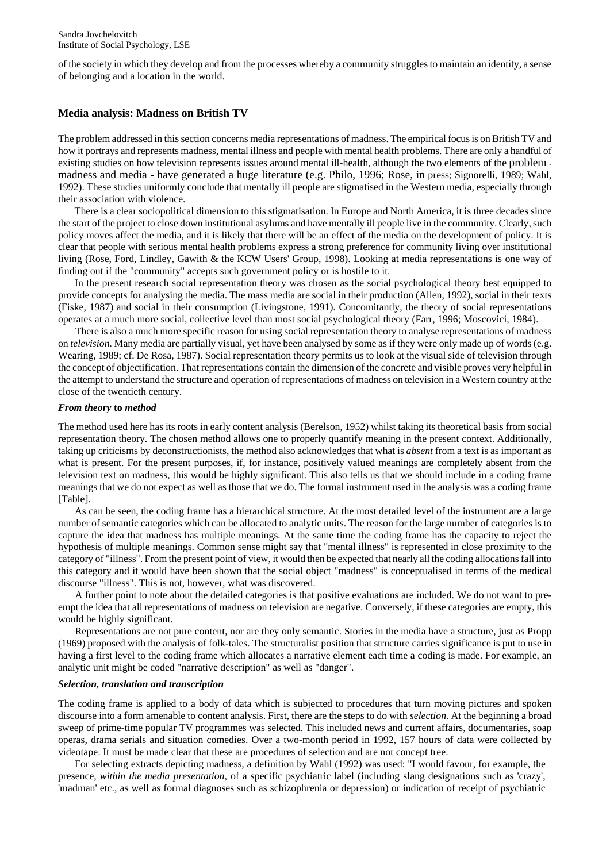of the society in which they develop and from the processes whereby a community struggles to maintain an identity, a sense of belonging and a location in the world.

# **Media analysis: Madness on British TV**

The problem addressed in this section concerns media representations of madness. The empirical focus is on British TV and how it portrays and represents madness, mental illness and people with mental health problems. There are only a handful of existing studies on how television represents issues around mental ill-health, although the two elements of the problem madness and media - have generated a huge literature (e.g. Philo, 1996; Rose, in press; Signorelli, 1989; Wahl, 1992). These studies uniformly conclude that mentally ill people are stigmatised in the Western media, especially through their association with violence.

There is a clear sociopolitical dimension to this stigmatisation. In Europe and North America, it is three decades since the start of the project to close down institutional asylums and have mentally ill people live in the community. Clearly, such policy moves affect the media, and it is likely that there will be an effect of the media on the development of policy. It is clear that people with serious mental health problems express a strong preference for community living over institutional living (Rose, Ford, Lindley, Gawith & the KCW Users' Group, 1998). Looking at media representations is one way of finding out if the "community" accepts such government policy or is hostile to it.

In the present research social representation theory was chosen as the social psychological theory best equipped to provide concepts for analysing the media. The mass media are social in their production (Allen, 1992), social in their texts (Fiske, 1987) and social in their consumption (Livingstone, 1991). Concomitantly, the theory of social representations operates at a much more social, collective level than most social psychological theory (Farr, 1996; Moscovici, 1984).

There is also a much more specific reason for using social representation theory to analyse representations of madness on *television.* Many media are partially visual, yet have been analysed by some as if they were only made up of words (e.g. Wearing, 1989; cf. De Rosa, 1987). Social representation theory permits us to look at the visual side of television through the concept of objectification. That representations contain the dimension of the concrete and visible proves very helpful in the attempt to understand the structure and operation of representations of madness on television in a Western country at the close of the twentieth century.

# *From theory* **to** *method*

The method used here has its roots in early content analysis (Berelson, 1952) whilst taking its theoretical basis from social representation theory. The chosen method allows one to properly quantify meaning in the present context. Additionally, taking up criticisms by deconstructionists, the method also acknowledges that what is *absent* from a text is as important as what is present. For the present purposes, if, for instance, positively valued meanings are completely absent from the television text on madness, this would be highly significant. This also tells us that we should include in a coding frame meanings that we do not expect as well as those that we do. The formal instrument used in the analysis was a coding frame [Table].

As can be seen, the coding frame has a hierarchical structure. At the most detailed level of the instrument are a large number of semantic categories which can be allocated to analytic units. The reason for the large number of categories is to capture the idea that madness has multiple meanings. At the same time the coding frame has the capacity to reject the hypothesis of multiple meanings. Common sense might say that "mental illness" is represented in close proximity to the category of "illness". From the present point of view, it would then be expected that nearly all the coding allocations fall into this category and it would have been shown that the social object "madness" is conceptualised in terms of the medical discourse "illness". This is not, however, what was discovered.

A further point to note about the detailed categories is that positive evaluations are included. We do not want to preempt the idea that all representations of madness on television are negative. Conversely, if these categories are empty, this would be highly significant.

Representations are not pure content, nor are they only semantic. Stories in the media have a structure, just as Propp (1969) proposed with the analysis of folk-tales. The structuralist position that structure carries significance is put to use in having a first level to the coding frame which allocates a narrative element each time a coding is made. For example, an analytic unit might be coded "narrative description" as well as "danger".

# *Selection, translation and transcription*

The coding frame is applied to a body of data which is subjected to procedures that turn moving pictures and spoken discourse into a form amenable to content analysis. First, there are the steps to do with *selection.* At the beginning a broad sweep of prime-time popular TV programmes was selected. This included news and current affairs, documentaries, soap operas, drama serials and situation comedies. Over a two-month period in 1992, 157 hours of data were collected by videotape. It must be made clear that these are procedures of selection and are not concept tree.

For selecting extracts depicting madness, a definition by Wahl (1992) was used: "I would favour, for example, the presence, *within the media presentation,* of a specific psychiatric label (including slang designations such as 'crazy', 'madman' etc., as well as formal diagnoses such as schizophrenia or depression) or indication of receipt of psychiatric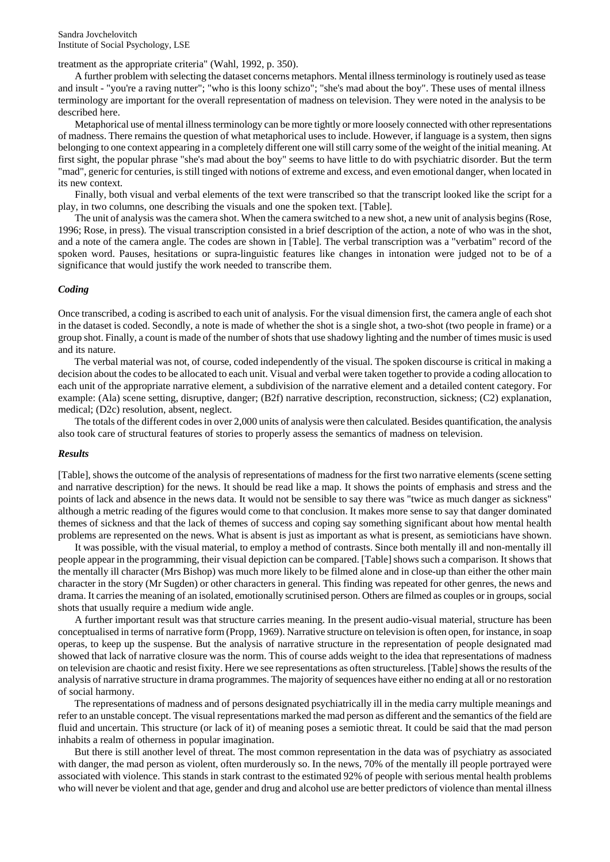treatment as the appropriate criteria" (Wahl, 1992, p. 350).

A further problem with selecting the dataset concerns metaphors. Mental illness terminology is routinely used as tease and insult - "you're a raving nutter"; "who is this loony schizo"; "she's mad about the boy". These uses of mental illness terminology are important for the overall representation of madness on television. They were noted in the analysis to be described here.

Metaphorical use of mental illness terminology can be more tightly or more loosely connected with other representations of madness. There remains the question of what metaphorical uses to include. However, if language is a system, then signs belonging to one context appearing in a completely different one will still carry some of the weight of the initial meaning. At first sight, the popular phrase "she's mad about the boy" seems to have little to do with psychiatric disorder. But the term "mad", generic for centuries, is still tinged with notions of extreme and excess, and even emotional danger, when located in its new context.

Finally, both visual and verbal elements of the text were transcribed so that the transcript looked like the script for a play, in two columns, one describing the visuals and one the spoken text. [Table].

The unit of analysis was the camera shot. When the camera switched to a new shot, a new unit of analysis begins (Rose, 1996; Rose, in press). The visual transcription consisted in a brief description of the action, a note of who was in the shot, and a note of the camera angle. The codes are shown in [Table]. The verbal transcription was a "verbatim" record of the spoken word. Pauses, hesitations or supra-linguistic features like changes in intonation were judged not to be of a significance that would justify the work needed to transcribe them.

# *Coding*

Once transcribed, a coding is ascribed to each unit of analysis. For the visual dimension first, the camera angle of each shot in the dataset is coded. Secondly, a note is made of whether the shot is a single shot, a two-shot (two people in frame) or a group shot. Finally, a count is made of the number of shots that use shadowy lighting and the number of times music is used and its nature.

The verbal material was not, of course, coded independently of the visual. The spoken discourse is critical in making a decision about the codes to be allocated to each unit. Visual and verbal were taken together to provide a coding allocation to each unit of the appropriate narrative element, a subdivision of the narrative element and a detailed content category. For example: (Ala) scene setting, disruptive, danger; (B2f) narrative description, reconstruction, sickness; (C2) explanation, medical; (D2c) resolution, absent, neglect.

The totals of the different codes in over 2,000 units of analysis were then calculated. Besides quantification, the analysis also took care of structural features of stories to properly assess the semantics of madness on television.

# *Results*

[Table], shows the outcome of the analysis of representations of madness for the first two narrative elements (scene setting and narrative description) for the news. It should be read like a map. It shows the points of emphasis and stress and the points of lack and absence in the news data. It would not be sensible to say there was "twice as much danger as sickness" although a metric reading of the figures would come to that conclusion. It makes more sense to say that danger dominated themes of sickness and that the lack of themes of success and coping say something significant about how mental health problems are represented on the news. What is absent is just as important as what is present, as semioticians have shown.

It was possible, with the visual material, to employ a method of contrasts. Since both mentally ill and non-mentally ill people appear in the programming, their visual depiction can be compared. [Table] shows such a comparison. It shows that the mentally ill character (Mrs Bishop) was much more likely to be filmed alone and in close-up than either the other main character in the story (Mr Sugden) or other characters in general. This finding was repeated for other genres, the news and drama. It carries the meaning of an isolated, emotionally scrutinised person. Others are filmed as couples or in groups, social shots that usually require a medium wide angle.

A further important result was that structure carries meaning. In the present audio-visual material, structure has been conceptualised in terms of narrative form (Propp, 1969). Narrative structure on television is often open, for instance, in soap operas, to keep up the suspense. But the analysis of narrative structure in the representation of people designated mad showed that lack of narrative closure was the norm. This of course adds weight to the idea that representations of madness on television are chaotic and resist fixity. Here we see representations as often structureless. [Table] shows the results of the analysis of narrative structure in drama programmes. The majority of sequences have either no ending at all or no restoration of social harmony.

The representations of madness and of persons designated psychiatrically ill in the media carry multiple meanings and refer to an unstable concept. The visual representations marked the mad person as different and the semantics of the field are fluid and uncertain. This structure (or lack of it) of meaning poses a semiotic threat. It could be said that the mad person inhabits a realm of otherness in popular imagination.

But there is still another level of threat. The most common representation in the data was of psychiatry as associated with danger, the mad person as violent, often murderously so. In the news, 70% of the mentally ill people portrayed were associated with violence. This stands in stark contrast to the estimated 92% of people with serious mental health problems who will never be violent and that age, gender and drug and alcohol use are better predictors of violence than mental illness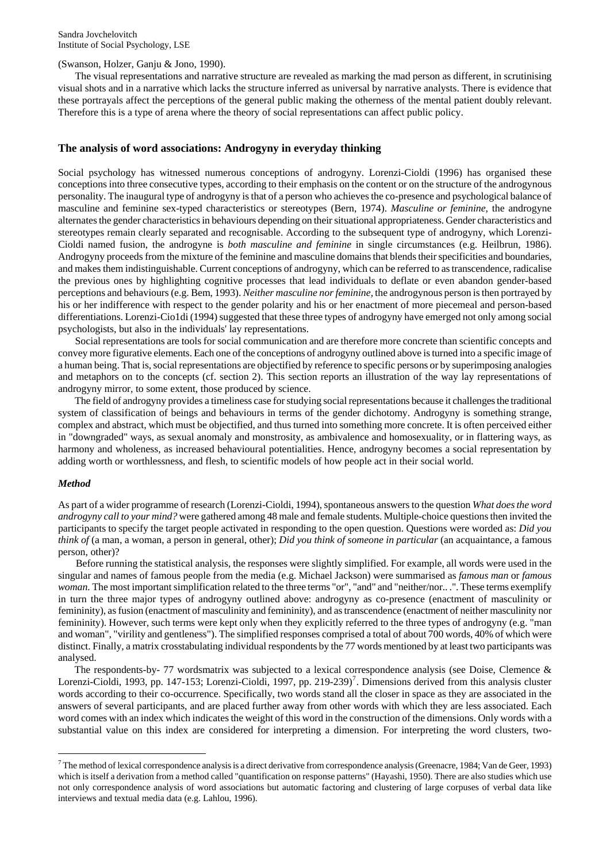### (Swanson, Holzer, Ganju & Jono, 1990).

The visual representations and narrative structure are revealed as marking the mad person as different, in scrutinising visual shots and in a narrative which lacks the structure inferred as universal by narrative analysts. There is evidence that these portrayals affect the perceptions of the general public making the otherness of the mental patient doubly relevant. Therefore this is a type of arena where the theory of social representations can affect public policy.

# **The analysis of word associations: Androgyny in everyday thinking**

Social psychology has witnessed numerous conceptions of androgyny. Lorenzi-Cioldi (1996) has organised these conceptions into three consecutive types, according to their emphasis on the content or on the structure of the androgynous personality. The inaugural type of androgyny is that of a person who achieves the co-presence and psychological balance of masculine and feminine sex-typed characteristics or stereotypes (Bern, 1974). *Masculine or feminine,* the androgyne alternates the gender characteristics in behaviours depending on their situational appropriateness. Gender characteristics and stereotypes remain clearly separated and recognisable. According to the subsequent type of androgyny, which Lorenzi-Cioldi named fusion, the androgyne is *both masculine and feminine* in single circumstances (e.g. Heilbrun, 1986). Androgyny proceeds from the mixture of the feminine and masculine domains that blends their specificities and boundaries, and makes them indistinguishable. Current conceptions of androgyny, which can be referred to as transcendence, radicalise the previous ones by highlighting cognitive processes that lead individuals to deflate or even abandon gender-based perceptions and behaviours (e.g. Bem, 1993). *Neither masculine nor feminine,* the androgynous person is then portrayed by his or her indifference with respect to the gender polarity and his or her enactment of more piecemeal and person-based differentiations. Lorenzi-Cio1di (1994) suggested that these three types of androgyny have emerged not only among social psychologists, but also in the individuals' lay representations.

Social representations are tools for social communication and are therefore more concrete than scientific concepts and convey more figurative elements. Each one of the conceptions of androgyny outlined above is turned into a specific image of a human being. That is, social representations are objectified by reference to specific persons or by superimposing analogies and metaphors on to the concepts (cf. section 2). This section reports an illustration of the way lay representations of androgyny mirror, to some extent, those produced by science.

The field of androgyny provides a timeliness case for studying social representations because it challenges the traditional system of classification of beings and behaviours in terms of the gender dichotomy. Androgyny is something strange, complex and abstract, which must be objectified, and thus turned into something more concrete. It is often perceived either in "downgraded" ways, as sexual anomaly and monstrosity, as ambivalence and homosexuality, or in flattering ways, as harmony and wholeness, as increased behavioural potentialities. Hence, androgyny becomes a social representation by adding worth or worthlessness, and flesh, to scientific models of how people act in their social world.

# *Method*

 $\overline{a}$ 

As part of a wider programme of research (Lorenzi-Cioldi, 1994), spontaneous answers to the question *What does the word androgyny call to your mind?* were gathered among 48 male and female students. Multiple-choice questions then invited the participants to specify the target people activated in responding to the open question. Questions were worded as: *Did you think of* (a man, a woman, a person in general, other); *Did you think of someone in particular* (an acquaintance, a famous person, other)?

Before running the statistical analysis, the responses were slightly simplified. For example, all words were used in the singular and names of famous people from the media (e.g. Michael Jackson) were summarised as *famous man* or *famous woman*. The most important simplification related to the three terms "or", "and" and "neither/nor.. .". These terms exemplify in turn the three major types of androgyny outlined above: androgyny as co-presence (enactment of masculinity or femininity), as fusion (enactment of masculinity and femininity), and as transcendence (enactment of neither masculinity nor femininity). However, such terms were kept only when they explicitly referred to the three types of androgyny (e.g. "man and woman", "virility and gentleness"). The simplified responses comprised a total of about 700 words, 40% of which were distinct. Finally, a matrix crosstabulating individual respondents by the 77 words mentioned by at least two participants was analysed.

The respondents-by- 77 wordsmatrix was subjected to a lexical correspondence analysis (see Doise, Clemence & Lorenzi-Cioldi, 1993, pp. 14[7](#page-10-0)-153; Lorenzi-Cioldi, 1997, pp. 219-239)<sup>7</sup>. Dimensions derived from this analysis cluster words according to their co-occurrence. Specifically, two words stand all the closer in space as they are associated in the answers of several participants, and are placed further away from other words with which they are less associated. Each word comes with an index which indicates the weight of this word in the construction of the dimensions. Only words with a substantial value on this index are considered for interpreting a dimension. For interpreting the word clusters, two-

<span id="page-10-0"></span><sup>&</sup>lt;sup>7</sup> The method of lexical correspondence analysis is a direct derivative from correspondence analysis (Greenacre, 1984; Van de Geer, 1993) which is itself a derivation from a method called "quantification on response patterns" (Hayashi, 1950). There are also studies which use not only correspondence analysis of word associations but automatic factoring and clustering of large corpuses of verbal data like interviews and textual media data (e.g. Lahlou, 1996).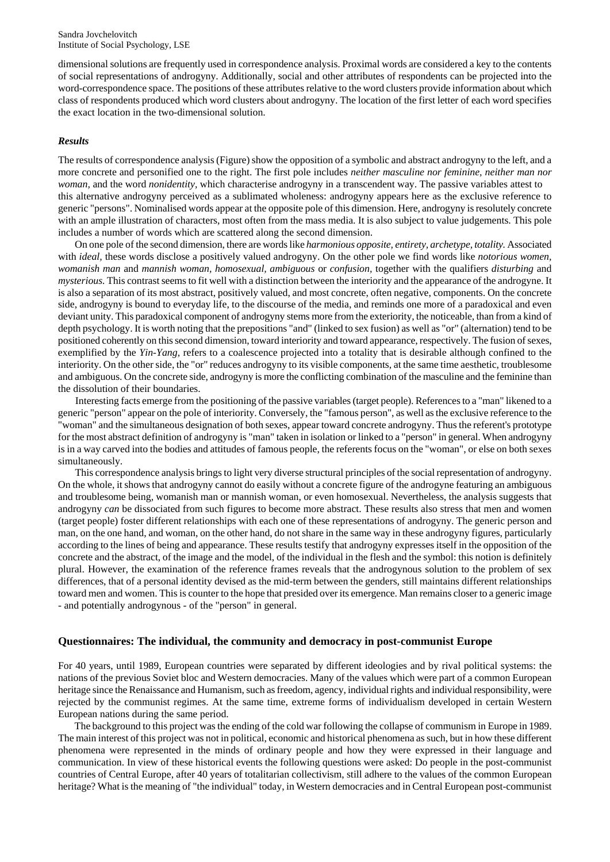dimensional solutions are frequently used in correspondence analysis. Proximal words are considered a key to the contents of social representations of androgyny. Additionally, social and other attributes of respondents can be projected into the word-correspondence space. The positions of these attributes relative to the word clusters provide information about which class of respondents produced which word clusters about androgyny. The location of the first letter of each word specifies the exact location in the two-dimensional solution.

# *Results*

The results of correspondence analysis (Figure) show the opposition of a symbolic and abstract androgyny to the left, and a more concrete and personified one to the right. The first pole includes *neither masculine nor feminine, neither man nor woman,* and the word *nonidentity,* which characterise androgyny in a transcendent way. The passive variables attest to this alternative androgyny perceived as a sublimated wholeness: androgyny appears here as the exclusive reference to generic "persons". Nominalised words appear at the opposite pole of this dimension. Here, androgyny is resolutely concrete with an ample illustration of characters, most often from the mass media. It is also subject to value judgements. This pole includes a number of words which are scattered along the second dimension.

On one pole of the second dimension, there are words like *harmonious opposite, entirety, archetype, totality.* Associated with *ideal,* these words disclose a positively valued androgyny. On the other pole we find words like *notorious women, womanish man* and *mannish woman, homosexual, ambiguous* or *confusion,* together with the qualifiers *disturbing* and *mysterious.* This contrast seems to fit well with a distinction between the interiority and the appearance of the androgyne. It is also a separation of its most abstract, positively valued, and most concrete, often negative, components. On the concrete side, androgyny is bound to everyday life, to the discourse of the media, and reminds one more of a paradoxical and even deviant unity. This paradoxical component of androgyny stems more from the exteriority, the noticeable, than from a kind of depth psychology. It is worth noting that the prepositions "and" (linked to sex fusion) as well as "or" (alternation) tend to be positioned coherently on this second dimension, toward interiority and toward appearance, respectively. The fusion of sexes, exemplified by the *Yin-Yang,* refers to a coalescence projected into a totality that is desirable although confined to the interiority. On the other side, the "or" reduces androgyny to its visible components, at the same time aesthetic, troublesome and ambiguous. On the concrete side, androgyny is more the conflicting combination of the masculine and the feminine than the dissolution of their boundaries.

Interesting facts emerge from the positioning of the passive variables (target people). References to a "man" likened to a generic "person" appear on the pole of interiority. Conversely, the "famous person", as well as the exclusive reference to the "woman" and the simultaneous designation of both sexes, appear toward concrete androgyny. Thus the referent's prototype for the most abstract definition of androgyny is "man" taken in isolation or linked to a "person" in general. When androgyny is in a way carved into the bodies and attitudes of famous people, the referents focus on the "woman", or else on both sexes simultaneously.

This correspondence analysis brings to light very diverse structural principles of the social representation of androgyny. On the whole, it shows that androgyny cannot do easily without a concrete figure of the androgyne featuring an ambiguous and troublesome being, womanish man or mannish woman, or even homosexual. Nevertheless, the analysis suggests that androgyny *can* be dissociated from such figures to become more abstract. These results also stress that men and women (target people) foster different relationships with each one of these representations of androgyny. The generic person and man, on the one hand, and woman, on the other hand, do not share in the same way in these androgyny figures, particularly according to the lines of being and appearance. These results testify that androgyny expresses itself in the opposition of the concrete and the abstract, of the image and the model, of the individual in the flesh and the symbol: this notion is definitely plural. However, the examination of the reference frames reveals that the androgynous solution to the problem of sex differences, that of a personal identity devised as the mid-term between the genders, still maintains different relationships toward men and women. This is counter to the hope that presided over its emergence. Man remains closer to a generic image - and potentially androgynous - of the "person" in general.

# **Questionnaires: The individual, the community and democracy in post-communist Europe**

For 40 years, until 1989, European countries were separated by different ideologies and by rival political systems: the nations of the previous Soviet bloc and Western democracies. Many of the values which were part of a common European heritage since the Renaissance and Humanism, such as freedom, agency, individual rights and individual responsibility, were rejected by the communist regimes. At the same time, extreme forms of individualism developed in certain Western European nations during the same period.

The background to this project was the ending of the cold war following the collapse of communism in Europe in 1989. The main interest of this project was not in political, economic and historical phenomena as such, but in how these different phenomena were represented in the minds of ordinary people and how they were expressed in their language and communication. In view of these historical events the following questions were asked: Do people in the post-communist countries of Central Europe, after 40 years of totalitarian collectivism, still adhere to the values of the common European heritage? What is the meaning of "the individual" today, in Western democracies and in Central European post-communist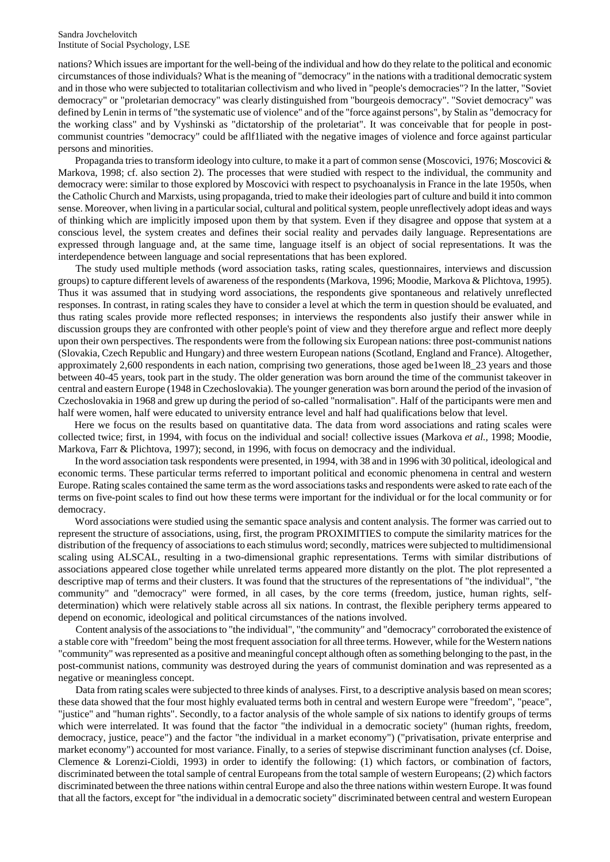nations? Which issues are important for the well-being of the individual and how do they relate to the political and economic circumstances of those individuals? What is the meaning of "democracy" in the nations with a traditional democratic system and in those who were subjected to totalitarian collectivism and who lived in "people's democracies"? In the latter, "Soviet democracy" or "proletarian democracy" was clearly distinguished from "bourgeois democracy". "Soviet democracy" was defined by Lenin in terms of "the systematic use of violence" and of the "force against persons", by Stalin as "democracy for the working class" and by Vyshinski as "dictatorship of the proletariat". It was conceivable that for people in postcommunist countries "democracy" could be aflf1liated with the negative images of violence and force against particular persons and minorities.

Propaganda tries to transform ideology into culture, to make it a part of common sense (Moscovici, 1976; Moscovici & Markova, 1998; cf. also section 2). The processes that were studied with respect to the individual, the community and democracy were: similar to those explored by Moscovici with respect to psychoanalysis in France in the late 1950s, when the Catholic Church and Marxists, using propaganda, tried to make their ideologies part of culture and build it into common sense. Moreover, when living in a particular social, cultural and political system, people unreflectively adopt ideas and ways of thinking which are implicitly imposed upon them by that system. Even if they disagree and oppose that system at a conscious level, the system creates and defines their social reality and pervades daily language. Representations are expressed through language and, at the same time, language itself is an object of social representations. It was the interdependence between language and social representations that has been explored.

The study used multiple methods (word association tasks, rating scales, questionnaires, interviews and discussion groups) to capture different levels of awareness of the respondents (Markova, 1996; Moodie, Markova & Plichtova, 1995). Thus it was assumed that in studying word associations, the respondents give spontaneous and relatively unreflected responses. In contrast, in rating scales they have to consider a level at which the term in question should be evaluated, and thus rating scales provide more reflected responses; in interviews the respondents also justify their answer while in discussion groups they are confronted with other people's point of view and they therefore argue and reflect more deeply upon their own perspectives. The respondents were from the following six European nations: three post-communist nations (Slovakia, Czech Republic and Hungary) and three western European nations (Scotland, England and France). Altogether, approximately 2,600 respondents in each nation, comprising two generations, those aged be1ween l8\_23 years and those between 40-45 years, took part in the study. The older generation was born around the time of the communist takeover in central and eastern Europe (1948 in Czechoslovakia). The younger generation was born around the period of the invasion of Czechoslovakia in 1968 and grew up during the period of so-called "normalisation". Half of the participants were men and half were women, half were educated to university entrance level and half had qualifications below that level.

Here we focus on the results based on quantitative data. The data from word associations and rating scales were collected twice; first, in 1994, with focus on the individual and social! collective issues (Markova *et al.,* 1998; Moodie, Markova, Farr & Plichtova, 1997); second, in 1996, with focus on democracy and the individual.

In the word association task respondents were presented, in 1994, with 38 and in 1996 with 30 political, ideological and economic terms. These particular terms referred to important political and economic phenomena in central and western Europe. Rating scales contained the same term as the word associations tasks and respondents were asked to rate each of the terms on five-point scales to find out how these terms were important for the individual or for the local community or for democracy.

Word associations were studied using the semantic space analysis and content analysis. The former was carried out to represent the structure of associations, using, first, the program PROXIMITIES to compute the similarity matrices for the distribution of the frequency of associations to each stimulus word; secondly, matrices were subjected to multidimensional scaling using ALSCAL, resulting in a two-dimensional graphic representations. Terms with similar distributions of associations appeared close together while unrelated terms appeared more distantly on the plot. The plot represented a descriptive map of terms and their clusters. It was found that the structures of the representations of "the individual", "the community" and "democracy" were formed, in all cases, by the core terms (freedom, justice, human rights, selfdetermination) which were relatively stable across all six nations. In contrast, the flexible periphery terms appeared to depend on economic, ideological and political circumstances of the nations involved.

Content analysis of the associations to "the individual", "the community" and "democracy" corroborated the existence of a stable core with "freedom" being the most frequent association for all three terms. However, while for the Western nations "community" was represented as a positive and meaningful concept although often as something belonging to the past, in the post-communist nations, community was destroyed during the years of communist domination and was represented as a negative or meaningless concept.

Data from rating scales were subjected to three kinds of analyses. First, to a descriptive analysis based on mean scores; these data showed that the four most highly evaluated terms both in central and western Europe were "freedom", "peace", "justice" and "human rights". Secondly, to a factor analysis of the whole sample of six nations to identify groups of terms which were interrelated. It was found that the factor "the individual in a democratic society" (human rights, freedom, democracy, justice, peace") and the factor "the individual in a market economy") ("privatisation, private enterprise and market economy") accounted for most variance. Finally, to a series of stepwise discriminant function analyses (cf. Doise, Clemence & Lorenzi-Cioldi, 1993) in order to identify the following: (1) which factors, or combination of factors, discriminated between the total sample of central Europeans from the total sample of western Europeans; (2) which factors discriminated between the three nations within central Europe and also the three nations within western Europe. It was found that all the factors, except for "the individual in a democratic society" discriminated between central and western European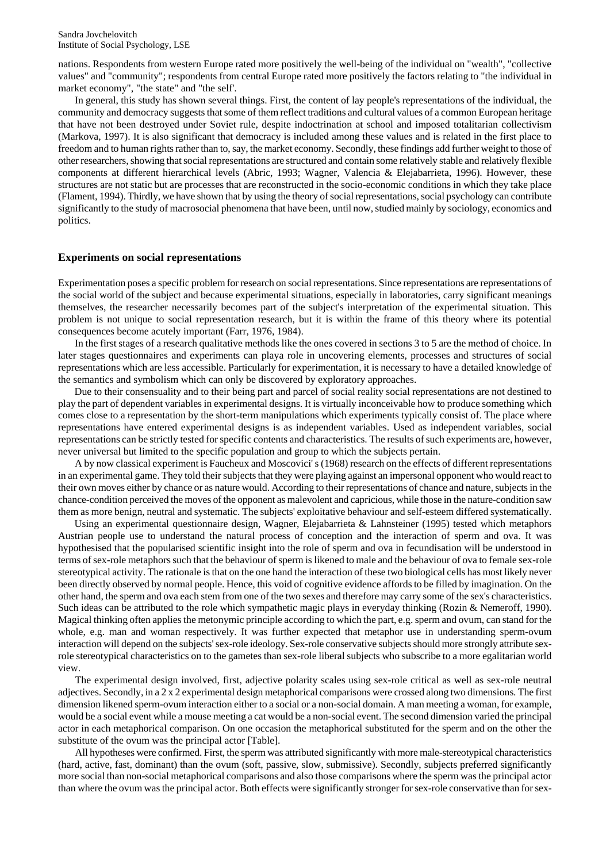nations. Respondents from western Europe rated more positively the well-being of the individual on "wealth", "collective values" and "community"; respondents from central Europe rated more positively the factors relating to "the individual in market economy", "the state" and "the self'.

In general, this study has shown several things. First, the content of lay people's representations of the individual, the community and democracy suggests that some of them reflect traditions and cultural values of a common European heritage that have not been destroyed under Soviet rule, despite indoctrination at school and imposed totalitarian collectivism (Markova, 1997). It is also significant that democracy is included among these values and is related in the first place to freedom and to human rights rather than to, say, the market economy. Secondly, these findings add further weight to those of other researchers, showing that social representations are structured and contain some relatively stable and relatively flexible components at different hierarchical levels (Abric, 1993; Wagner, Valencia & Elejabarrieta, 1996). However, these structures are not static but are processes that are reconstructed in the socio-economic conditions in which they take place (Flament, 1994). Thirdly, we have shown that by using the theory of social representations, social psychology can contribute significantly to the study of macrosocial phenomena that have been, until now, studied mainly by sociology, economics and politics.

# **Experiments on social representations**

Experimentation poses a specific problem for research on social representations. Since representations are representations of the social world of the subject and because experimental situations, especially in laboratories, carry significant meanings themselves, the researcher necessarily becomes part of the subject's interpretation of the experimental situation. This problem is not unique to social representation research, but it is within the frame of this theory where its potential consequences become acutely important (Farr, 1976, 1984).

In the first stages of a research qualitative methods like the ones covered in sections 3 to 5 are the method of choice. In later stages questionnaires and experiments can playa role in uncovering elements, processes and structures of social representations which are less accessible. Particularly for experimentation, it is necessary to have a detailed knowledge of the semantics and symbolism which can only be discovered by exploratory approaches.

Due to their consensuality and to their being part and parcel of social reality social representations are not destined to play the part of dependent variables in experimental designs. It is virtually inconceivable how to produce something which comes close to a representation by the short-term manipulations which experiments typically consist of. The place where representations have entered experimental designs is as independent variables. Used as independent variables, social representations can be strictly tested for specific contents and characteristics. The results of such experiments are, however, never universal but limited to the specific population and group to which the subjects pertain.

A by now classical experiment is Faucheux and Moscovici' s (1968) research on the effects of different representations in an experimental game. They told their subjects that they were playing against an impersonal opponent who would react to their own moves either by chance or as nature would. According to their representations of chance and nature, subjects in the chance-condition perceived the moves of the opponent as malevolent and capricious, while those in the nature-condition saw them as more benign, neutral and systematic. The subjects' exploitative behaviour and self-esteem differed systematically.

Using an experimental questionnaire design, Wagner, Elejabarrieta & Lahnsteiner (1995) tested which metaphors Austrian people use to understand the natural process of conception and the interaction of sperm and ova. It was hypothesised that the popularised scientific insight into the role of sperm and ova in fecundisation will be understood in terms of sex-role metaphors such that the behaviour of sperm is likened to male and the behaviour of ova to female sex-role stereotypical activity. The rationale is that on the one hand the interaction of these two biological cells has most likely never been directly observed by normal people. Hence, this void of cognitive evidence affords to be filled by imagination. On the other hand, the sperm and ova each stem from one of the two sexes and therefore may carry some of the sex's characteristics. Such ideas can be attributed to the role which sympathetic magic plays in everyday thinking (Rozin & Nemeroff, 1990). Magical thinking often applies the metonymic principle according to which the part, e.g. sperm and ovum, can stand for the whole, e.g. man and woman respectively. It was further expected that metaphor use in understanding sperm-ovum interaction will depend on the subjects' sex-role ideology. Sex-role conservative subjects should more strongly attribute sexrole stereotypical characteristics on to the gametes than sex-role liberal subjects who subscribe to a more egalitarian world view.

The experimental design involved, first, adjective polarity scales using sex-role critical as well as sex-role neutral adjectives. Secondly, in a 2 x 2 experimental design metaphorical comparisons were crossed along two dimensions. The first dimension likened sperm-ovum interaction either to a social or a non-social domain. A man meeting a woman, for example, would be a social event while a mouse meeting a cat would be a non-social event. The second dimension varied the principal actor in each metaphorical comparison. On one occasion the metaphorical substituted for the sperm and on the other the substitute of the ovum was the principal actor [Table].

All hypotheses were confirmed. First, the sperm was attributed significantly with more male-stereotypical characteristics (hard, active, fast, dominant) than the ovum (soft, passive, slow, submissive). Secondly, subjects preferred significantly more social than non-social metaphorical comparisons and also those comparisons where the sperm was the principal actor than where the ovum was the principal actor. Both effects were significantly stronger for sex-role conservative than for sex-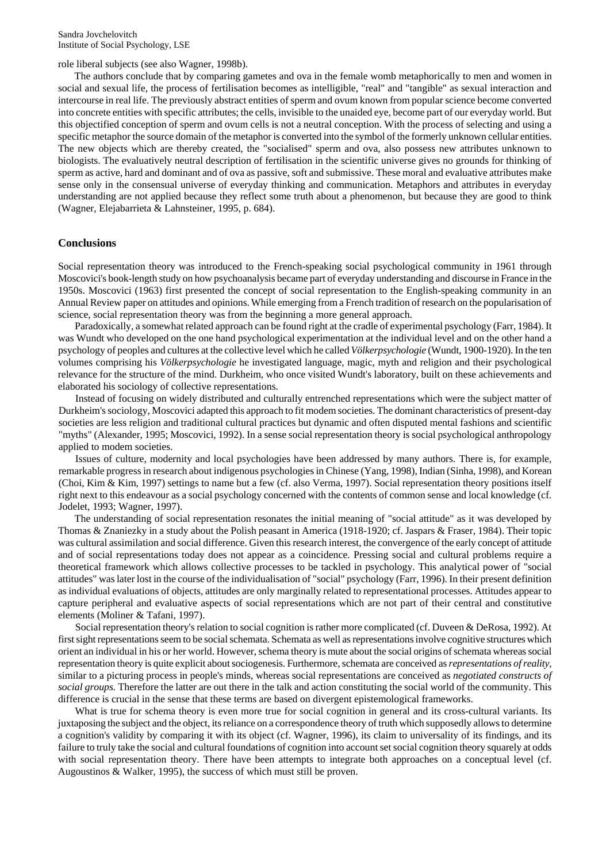role liberal subjects (see also Wagner, 1998b).

The authors conclude that by comparing gametes and ova in the female womb metaphorically to men and women in social and sexual life, the process of fertilisation becomes as intelligible, "real" and "tangible" as sexual interaction and intercourse in real life. The previously abstract entities of sperm and ovum known from popular science become converted into concrete entities with specific attributes; the cells, invisible to the unaided eye, become part of our everyday world. But this objectified conception of sperm and ovum cells is not a neutral conception. With the process of selecting and using a specific metaphor the source domain of the metaphor is converted into the symbol of the formerly unknown cellular entities. The new objects which are thereby created, the "socialised" sperm and ova, also possess new attributes unknown to biologists. The evaluatively neutral description of fertilisation in the scientific universe gives no grounds for thinking of sperm as active, hard and dominant and of ova as passive, soft and submissive. These moral and evaluative attributes make sense only in the consensual universe of everyday thinking and communication. Metaphors and attributes in everyday understanding are not applied because they reflect some truth about a phenomenon, but because they are good to think (Wagner, Elejabarrieta & Lahnsteiner, 1995, p. 684).

# **Conclusions**

Social representation theory was introduced to the French-speaking social psychological community in 1961 through Moscovici's book-length study on how psychoanalysis became part of everyday understanding and discourse in France in the 1950s. Moscovici (1963) first presented the concept of social representation to the English-speaking community in an Annual Review paper on attitudes and opinions. While emerging from a French tradition of research on the popularisation of science, social representation theory was from the beginning a more general approach.

Paradoxically, a somewhat related approach can be found right at the cradle of experimental psychology (Farr, 1984). It was Wundt who developed on the one hand psychological experimentation at the individual level and on the other hand a psychology of peoples and cultures at the collective level which he called *Völkerpsychologie* (Wundt, 1900-1920). In the ten volumes comprising his *Völkerpsychologie* he investigated language, magic, myth and religion and their psychological relevance for the structure of the mind. Durkheim, who once visited Wundt's laboratory, built on these achievements and elaborated his sociology of collective representations.

Instead of focusing on widely distributed and culturally entrenched representations which were the subject matter of Durkheim's sociology, Moscovici adapted this approach to fit modem societies. The dominant characteristics of present-day societies are less religion and traditional cultural practices but dynamic and often disputed mental fashions and scientific "myths" (Alexander, 1995; Moscovici, 1992). In a sense social representation theory is social psychological anthropology applied to modem societies.

Issues of culture, modernity and local psychologies have been addressed by many authors. There is, for example, remarkable progress in research about indigenous psychologies in Chinese (Yang, 1998), Indian (Sinha, 1998), and Korean (Choi, Kim & Kim, 1997) settings to name but a few (cf. also Verma, 1997). Social representation theory positions itself right next to this endeavour as a social psychology concerned with the contents of common sense and local knowledge (cf. Jodelet, 1993; Wagner, 1997).

The understanding of social representation resonates the initial meaning of "social attitude" as it was developed by Thomas & Znaniezky in a study about the Polish peasant in America (1918-1920; cf. Jaspars & Fraser, 1984). Their topic was cultural assimilation and social difference. Given this research interest, the convergence of the early concept of attitude and of social representations today does not appear as a coincidence. Pressing social and cultural problems require a theoretical framework which allows collective processes to be tackled in psychology. This analytical power of "social attitudes" was later lost in the course of the individualisation of "social" psychology (Farr, 1996). In their present definition as individual evaluations of objects, attitudes are only marginally related to representational processes. Attitudes appear to capture peripheral and evaluative aspects of social representations which are not part of their central and constitutive elements (Moliner & Tafani, 1997).

Social representation theory's relation to social cognition is rather more complicated (cf. Duveen & DeRosa, 1992). At first sight representations seem to be social schemata. Schemata as well as representations involve cognitive structures which orient an individual in his or her world. However, schema theory is mute about the social origins of schemata whereas social representation theory is quite explicit about sociogenesis. Furthermore, schemata are conceived as *representations of reality,*  similar to a picturing process in people's minds, whereas social representations are conceived as *negotiated constructs of social groups.* Therefore the latter are out there in the talk and action constituting the social world of the community. This difference is crucial in the sense that these terms are based on divergent epistemological frameworks.

What is true for schema theory is even more true for social cognition in general and its cross-cultural variants. Its juxtaposing the subject and the object, its reliance on a correspondence theory of truth which supposedly allows to determine a cognition's validity by comparing it with its object (cf. Wagner, 1996), its claim to universality of its findings, and its failure to truly take the social and cultural foundations of cognition into account set social cognition theory squarely at odds with social representation theory. There have been attempts to integrate both approaches on a conceptual level (cf. Augoustinos & Walker, 1995), the success of which must still be proven.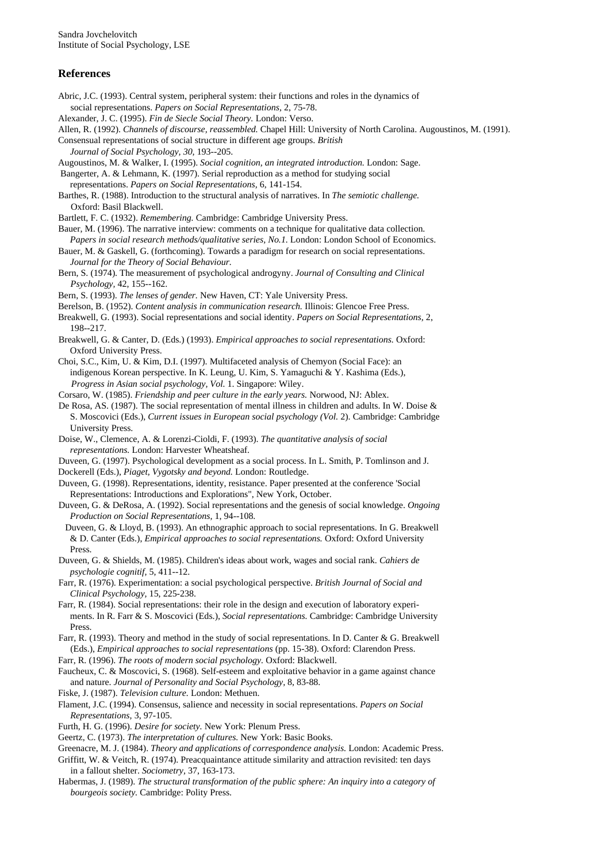# **References**

- Abric, J.C. (1993). Central system, peripheral system: their functions and roles in the dynamics of social representations. *Papers on Social Representations,* 2, 75-78.
- Alexander, J. C. (1995). *Fin de Siecle Social Theory.* London: Verso.
- Allen, R. (1992). *Channels of discourse, reassembled.* Chapel Hill: University of North Carolina. Augoustinos, M. (1991).
- Consensual representations of social structure in different age groups. *British Journal of Social Psychology, 30,* 193--205.
- Augoustinos, M. & Walker, I. (1995). *Social cognition, an integrated introduction.* London: Sage.
- Bangerter, A. & Lehmann, K. (1997). Serial reproduction as a method for studying social representations. *Papers on Social Representations,* 6, 141-154.
- Barthes, R. (1988). Introduction to the structural analysis of narratives. In *The semiotic challenge.*  Oxford: Basil Blackwell.
- Bartlett, F. C. (1932). *Remembering.* Cambridge: Cambridge University Press.
- Bauer, M. (1996). The narrative interview: comments on a technique for qualitative data collection.  *Papers in social research methods/qualitative series, No.1.* London: London School of Economics.
- Bauer, M. & Gaskell, G. (forthcoming). Towards a paradigm for research on social representations.  *Journal for the Theory of Social Behaviour.*
- Bern, S. (1974). The measurement of psychological androgyny. *Journal of Consulting and Clinical Psychology,* 42, 155--162.
- Bern, S. (1993). *The lenses of gender.* New Haven, CT: Yale University Press.
- Berelson, B. (1952). *Content analysis in communication research.* Illinois: Glencoe Free Press.
- Breakwell, G. (1993). Social representations and social identity. *Papers on Social Representations,* 2, 198--217.
- Breakwell, G. & Canter, D. (Eds.) (1993). *Empirical approaches to social representations.* Oxford: Oxford University Press.
- Choi, S.C., Kim, U. & Kim, D.I. (1997). Multifaceted analysis of Chemyon (Social Face): an indigenous Korean perspective. In K. Leung, U. Kim, S. Yamaguchi & Y. Kashima (Eds.), *Progress in Asian social psychology, Vol.* 1. Singapore: Wiley.
- Corsaro, W. (1985). *Friendship and peer culture in the early years.* Norwood, NJ: Ablex.
- De Rosa, AS. (1987). The social representation of mental illness in children and adults. In W. Doise & S. Moscovici (Eds.), *Current issues in European social psychology (Vol.* 2). Cambridge: Cambridge University Press.
- Doise, W., Clemence, A. & Lorenzi-Cioldi, F. (1993). *The quantitative analysis of social representations.* London: Harvester Wheatsheaf.
- Duveen, G. (1997). Psychological development as a social process. In L. Smith, P. Tomlinson and J. Dockerell (Eds.), *Piaget, Vygotsky and beyond.* London: Routledge.
- Duveen, G. (1998). Representations, identity, resistance. Paper presented at the conference 'Social Representations: Introductions and Explorations", New York, October.
- Duveen, G. & DeRosa, A. (1992). Social representations and the genesis of social knowledge. *Ongoing Production on Social Representations,* 1, 94--108.
- Duveen, G. & Lloyd, B. (1993). An ethnographic approach to social representations. In G. Breakwell & D. Canter (Eds.), *Empirical approaches to social representations.* Oxford: Oxford University Press.
- Duveen, G. & Shields, M. (1985). Children's ideas about work, wages and social rank. *Cahiers de psychologie cognitif,* 5, 411--12.
- Farr, R. (1976). Experimentation: a social psychological perspective. *British Journal of Social and Clinical Psychology,* 15, 225-238.
- Farr, R. (1984). Social representations: their role in the design and execution of laboratory experi ments. In R. Farr & S. Moscovici (Eds.), *Social representations.* Cambridge: Cambridge University Press.
- Farr, R. (1993). Theory and method in the study of social representations. In D. Canter & G. Breakwell (Eds.), *Empirical approaches to social representations* (pp. 15-38). Oxford: Clarendon Press.
- Farr, R. (1996). *The roots of modern social psychology.* Oxford: Blackwell.
- Faucheux, C. & Moscovici, S. (1968). Self-esteem and exploitative behavior in a game against chance and nature. *Journal of Personality and Social Psychology,* 8, 83-88.
- Fiske, J. (1987). *Television culture.* London: Methuen.

Flament, J.C. (1994). Consensus, salience and necessity in social representations. *Papers on Social Representations,* 3, 97-105.

- Furth, H. G. (1996). *Desire for society.* New York: Plenum Press.
- Geertz, C. (1973). *The interpretation of cultures.* New York: Basic Books.
- Greenacre, M. J. (1984). *Theory and applications of correspondence analysis.* London: Academic Press.
- Griffitt, W. & Veitch, R. (1974). Preacquaintance attitude similarity and attraction revisited: ten days in a fallout shelter. *Sociometry,* 37, 163-173.
- Habermas, J. (1989). *The structural transformation of the public sphere: An inquiry into a category of bourgeois society.* Cambridge: Polity Press.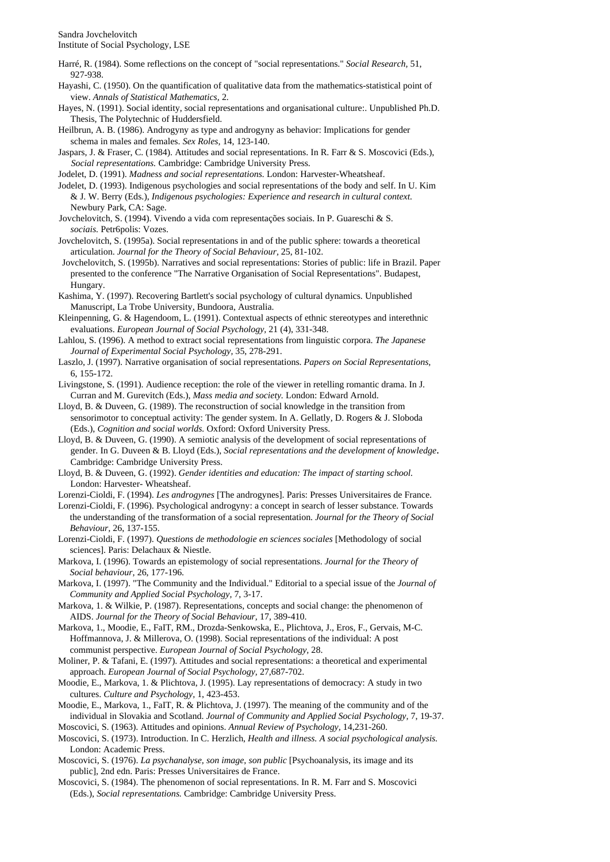Harré, R. (1984). Some reflections on the concept of "social representations." *Social Research,* 51, 927-938.

- Hayashi, C. (1950). On the quantification of qualitative data from the mathematics-statistical point of view. *Annals of Statistical Mathematics,* 2.
- Hayes, N. (1991). Social identity, social representations and organisational culture:. Unpublished Ph.D. Thesis, The Polytechnic of Huddersfield.
- Heilbrun, A. B. (1986). Androgyny as type and androgyny as behavior: Implications for gender schema in males and females. *Sex Roles,* 14, 123-140.
- Jaspars, J. & Fraser, C. (1984). Attitudes and social representations. In R. Farr & S. Moscovici (Eds.), *Social representations.* Cambridge: Cambridge University Press.
- Jodelet, D. (1991). *Madness and social representations.* London: Harvester-Wheatsheaf.
- Jodelet, D. (1993). Indigenous psychologies and social representations of the body and self. In U. Kim & J. W. Berry (Eds.), *Indigenous psychologies: Experience and research in cultural context.*  Newbury Park, CA: Sage.
- Jovchelovitch, S. (1994). Vivendo a vida com representações sociais. In P. Guareschi & S.  *sociais.* Petr6polis: Vozes.
- Jovchelovitch, S. (1995a). Social representations in and of the public sphere: towards a theoretical articulation. *Journal for the Theory of Social Behaviour,* 25, 81-102.
- Jovchelovitch, S. (1995b). Narratives and social representations: Stories of public: life in Brazil. Paper presented to the conference "The Narrative Organisation of Social Representations". Budapest, Hungary.
- Kashima, Y. (1997). Recovering Bartlett's social psychology of cultural dynamics. Unpublished Manuscript, La Trobe University, Bundoora, Australia.
- Kleinpenning, G. & Hagendoom, L. (1991). Contextual aspects of ethnic stereotypes and interethnic evaluations. *European Journal of Social Psychology,* 21 (4), 331-348.
- Lahlou, S. (1996). A method to extract social representations from linguistic corpora. *The Japanese Journal of Experimental Social Psychology,* 35, 278-291.
- Laszlo, J. (1997). Narrative organisation of social representations. *Papers on Social Representations,*  6, 155-172.
- Livingstone, S. (1991). Audience reception: the role of the viewer in retelling romantic drama. In J. Curran and M. Gurevitch (Eds.), *Mass media and society.* London: Edward Arnold.
- Lloyd, B. & Duveen, G. (1989). The reconstruction of social knowledge in the transition from sensorimotor to conceptual activity: The gender system. In A. Gellatly, D. Rogers & J. Sloboda (Eds.), *Cognition and social worlds.* Oxford: Oxford University Press.
- Lloyd, B. & Duveen, G. (1990). A semiotic analysis of the development of social representations of gender. In G. Duveen & B. Lloyd (Eds.), *Social representations and the development of knowledge*. Cambridge: Cambridge University Press.
- Lloyd, B. & Duveen, G. (1992). *Gender identities and education: The impact of starting school.*  London: Harvester- Wheatsheaf.
- Lorenzi-Cioldi, F. (1994). *Les androgynes* [The androgynes]. Paris: Presses Universitaires de France.
- Lorenzi-Cioldi, F. (1996). Psychological androgyny: a concept in search of lesser substance. Towards the understanding of the transformation of a social representation. *Journal for the Theory of Social Behaviour,* 26, 137-155.
- Lorenzi-Cioldi, F. (1997). *Questions de methodologie en sciences sociales* [Methodology of social sciences]. Paris: Delachaux & Niestle.
- Markova, I. (1996). Towards an epistemology of social representations. *Journal for the Theory of Social behaviour,* 26, 177-196.
- Markova, I. (1997). "The Community and the Individual." Editorial to a special issue of the *Journal of Community and Applied Social Psychology,* 7, 3-17.
- Markova, 1. & Wilkie, P. (1987). Representations, concepts and social change: the phenomenon of AIDS. *Journal for the Theory of Social Behaviour,* 17, 389-410.
- Markova, 1., Moodie, E., FaIT, RM., Drozda-Senkowska, E., Plichtova, J., Eros, F., Gervais, M-C. Hoffmannova, J. & Millerova, O. (1998). Social representations of the individual: A post communist perspective. *European Journal of Social Psychology,* 28.
- Moliner, P. & Tafani, E. (1997). Attitudes and social representations: a theoretical and experimental approach. *European Journal of Social Psychology,* 27,687-702.
- Moodie, E., Markova, 1. & Plichtova, J. (1995). Lay representations of democracy: A study in two cultures. *Culture and Psychology,* 1, 423-453.
- Moodie, E., Markova, 1., FaIT, R. & Plichtova, J. (1997). The meaning of the community and of the individual in Slovakia and Scotland. *Journal of Community and Applied Social Psychology,* 7, 19-37.
- Moscovici, S. (1963). Attitudes and opinions. *Annual Review of Psychology,* 14,231-260.
- Moscovici, S. (1973). Introduction. In C. Herzlich, *Health and illness. A social psychological analysis.*  London: Academic Press.
- Moscovici, S. (1976). *La psychanalyse, son image, son public* [Psychoanalysis, its image and its public], 2nd edn. Paris: Presses Universitaires de France.
- Moscovici, S. (1984). The phenomenon of social representations. In R. M. Farr and S. Moscovici (Eds.), *Social representations.* Cambridge: Cambridge University Press.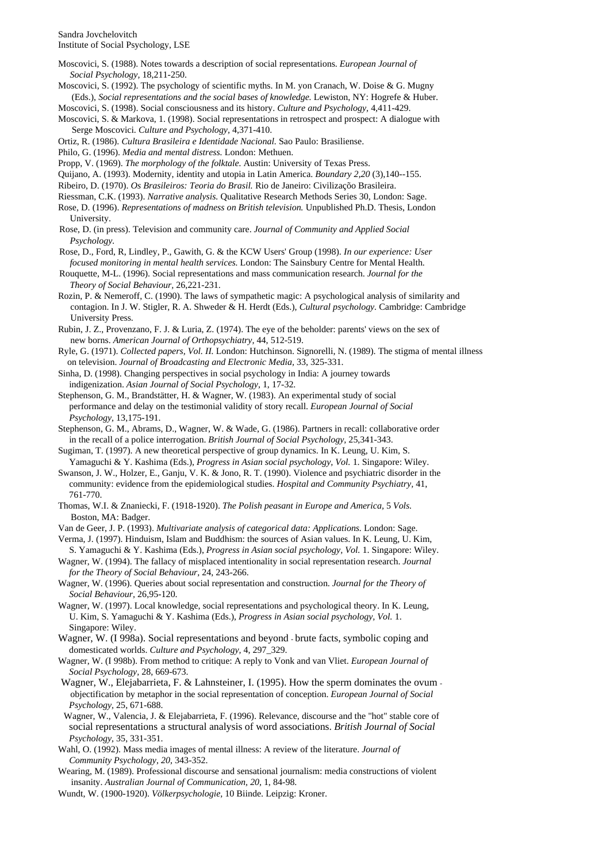Moscovici, S. (1988). Notes towards a description of social representations. *European Journal of Social Psychology,* 18,211-250.

Moscovici, S. (1992). The psychology of scientific myths. In M. yon Cranach, W. Doise & G. Mugny (Eds.), *Social representations and the social bases of knowledge.* Lewiston, NY: Hogrefe & Huber.

Moscovici, S. (1998). Social consciousness and its history. *Culture and Psychology,* 4,411-429.

Moscovici, S. & Markova, 1. (1998). Social representations in retrospect and prospect: A dialogue with Serge Moscovici. *Culture and Psychology,* 4,371-410.

Ortiz, R. (1986). *Cultura Brasileira e Identidade Nacional.* Sao Paulo: Brasiliense.

Philo, G. (1996). *Media and mental distress.* London: Methuen.

Propp, V. (1969). *The morphology of the folktale.* Austin: University of Texas Press.

Quijano, A. (1993). Modernity, identity and utopia in Latin America. *Boundary 2,20* (3),140--155.

Ribeiro, D. (1970). *Os Brasileiros: Teoria do Brasil.* Rio de Janeiro: Civilizaçõo Brasileira.

Riessman, C.K. (1993). *Narrative analysis.* Qualitative Research Methods Series 30, London: Sage.

- Rose, D. (1996). *Representations of madness on British television.* Unpublished Ph.D. Thesis, London University.
- Rose, D. (in press). Television and community care. *Journal of Community and Applied Social Psychology.*

Rose, D., Ford, R, Lindley, P., Gawith, G. & the KCW Users' Group (1998). *In our experience: User focused monitoring in mental health services.* London: The Sainsbury Centre for Mental Health.

Rouquette, M-L. (1996). Social representations and mass communication research. *Journal for the Theory of Social Behaviour,* 26,221-231.

Rozin, P. & Nemeroff, C. (1990). The laws of sympathetic magic: A psychological analysis of similarity and contagion. In J. W. Stigler, R. A. Shweder & H. Herdt (Eds.), *Cultural psychology.* Cambridge: Cambridge University Press.

Rubin, J. Z., Provenzano, F. J. & Luria, Z. (1974). The eye of the beholder: parents' views on the sex of new borns. *American Journal of Orthopsychiatry,* 44, 512-519.

Ryle, G. (1971). *Collected papers, Vol. II.* London: Hutchinson. Signorelli, N. (1989). The stigma of mental illness on television. *Journal of Broadcasting and Electronic Media,* 33, 325-331.

Sinha, D. (1998). Changing perspectives in social psychology in India: A journey towards indigenization. *Asian Journal of Social Psychology,* 1, 17-32.

Stephenson, G. M., Brandstätter, H. & Wagner, W. (1983). An experimental study of social performance and delay on the testimonial validity of story recall. *European Journal of Social Psychology,* 13,175-191.

Stephenson, G. M., Abrams, D., Wagner, W. & Wade, G. (1986). Partners in recall: collaborative order in the recall of a police interrogation. *British Journal of Social Psychology,* 25,341-343.

Sugiman, T. (1997). A new theoretical perspective of group dynamics. In K. Leung, U. Kim, S. Yamaguchi & Y. Kashima (Eds.), *Progress in Asian social psychology, Vol.* 1. Singapore: Wiley.

Swanson, J. W., Holzer, E., Ganju, V. K. & Jono, R. T. (1990). Violence and psychiatric disorder in the community: evidence from the epidemiological studies. *Hospital and Community Psychiatry,* 41, 761-770.

Thomas, W.I. & Znaniecki, F. (1918-1920). *The Polish peasant in Europe and America,* 5 *Vols.*  Boston, MA: Badger.

Van de Geer, J. P. (1993). *Multivariate analysis of categorical data: Applications.* London: Sage. Verma, J. (1997). Hinduism, Islam and Buddhism: the sources of Asian values. In K. Leung, U. Kim,

 S. Yamaguchi & Y. Kashima (Eds.), *Progress in Asian social psychology, Vol.* 1. Singapore: Wiley. Wagner, W. (1994). The fallacy of misplaced intentionality in social representation research. *Journal for the Theory of Social Behaviour,* 24, 243-266.

Wagner, W. (1996). Queries about social representation and construction. *Journal for the Theory of Social Behaviour,* 26,95-120.

Wagner, W. (1997). Local knowledge, social representations and psychological theory. In K. Leung, U. Kim, S. Yamaguchi & Y. Kashima (Eds.), *Progress in Asian social psychology, Vol.* 1. Singapore: Wiley.

- Wagner, W. (I 998a). Social representations and beyond brute facts, symbolic coping and domesticated worlds. *Culture and Psychology,* 4, 297\_329.
- Wagner, W. (I 998b). From method to critique: A reply to Vonk and van Vliet. *European Journal of Social Psychology,* 28, 669-673.
- Wagner, W., Elejabarrieta, F. & Lahnsteiner, I. (1995). How the sperm dominates the ovum objectification by metaphor in the social representation of conception. *European Journal of Social Psychology,* 25, 671-688.

 Wagner, W., Valencia, J. & Elejabarrieta, F. (1996). Relevance, discourse and the "hot" stable core of social representations a structural analysis of word associations. *British Journal of Social Psychology,* 35, 331-351.

Wahl, O. (1992). Mass media images of mental illness: A review of the literature. *Journal of Community Psychology, 20,* 343-352.

Wearing, M. (1989). Professional discourse and sensational journalism: media constructions of violent insanity. *Australian Journal of Communication, 20,* 1, 84-98.

Wundt, W. (1900-1920). *Völkerpsychologie,* 10 Biinde. Leipzig: Kroner.